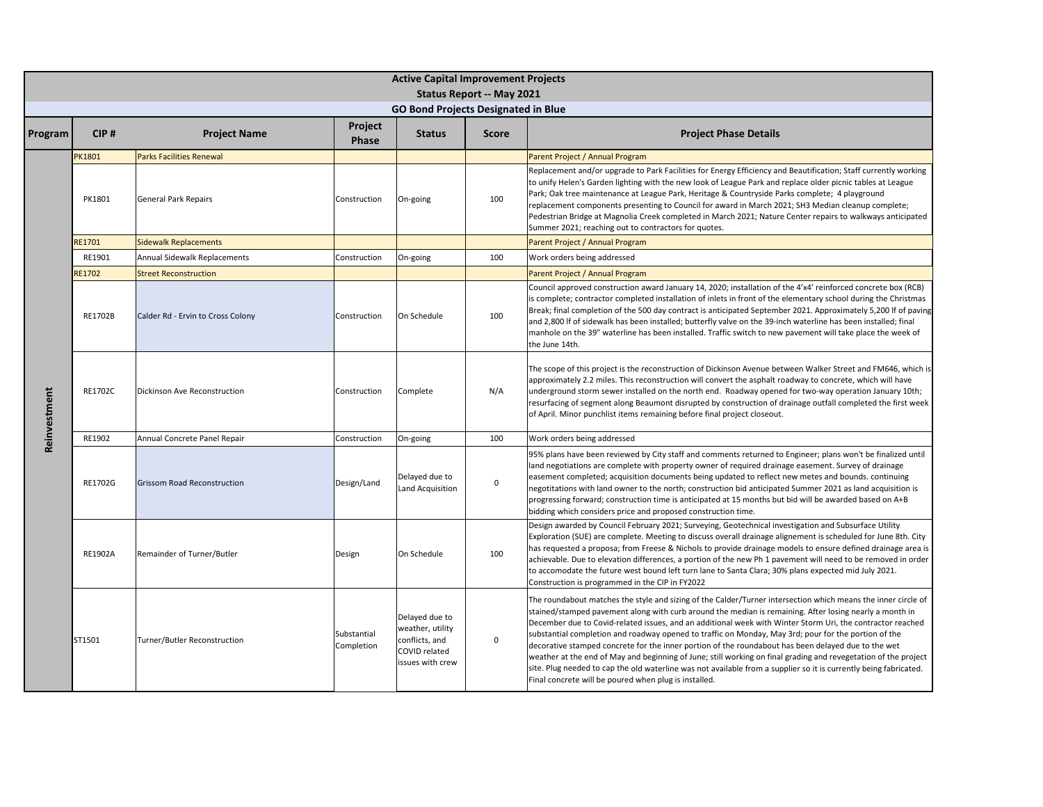|              |                |                                    |                           | <b>Active Capital Improvement Projects</b>                                                |                           |                                                                                                                                                                                                                                                                                                                                                                                                                                                                                                                                                                                                                                                                                                                                                                                                                                                        |
|--------------|----------------|------------------------------------|---------------------------|-------------------------------------------------------------------------------------------|---------------------------|--------------------------------------------------------------------------------------------------------------------------------------------------------------------------------------------------------------------------------------------------------------------------------------------------------------------------------------------------------------------------------------------------------------------------------------------------------------------------------------------------------------------------------------------------------------------------------------------------------------------------------------------------------------------------------------------------------------------------------------------------------------------------------------------------------------------------------------------------------|
|              |                |                                    |                           |                                                                                           | Status Report -- May 2021 |                                                                                                                                                                                                                                                                                                                                                                                                                                                                                                                                                                                                                                                                                                                                                                                                                                                        |
|              |                |                                    |                           | <b>GO Bond Projects Designated in Blue</b>                                                |                           |                                                                                                                                                                                                                                                                                                                                                                                                                                                                                                                                                                                                                                                                                                                                                                                                                                                        |
| Program      | CIP#           | <b>Project Name</b>                | Project<br>Phase          | <b>Status</b>                                                                             | <b>Score</b>              | <b>Project Phase Details</b>                                                                                                                                                                                                                                                                                                                                                                                                                                                                                                                                                                                                                                                                                                                                                                                                                           |
|              | PK1801         | <b>Parks Facilities Renewal</b>    |                           |                                                                                           |                           | Parent Project / Annual Program                                                                                                                                                                                                                                                                                                                                                                                                                                                                                                                                                                                                                                                                                                                                                                                                                        |
|              | PK1801         | <b>General Park Repairs</b>        | Construction              | On-going                                                                                  | 100                       | Replacement and/or upgrade to Park Facilities for Energy Efficiency and Beautification; Staff currently working<br>to unify Helen's Garden lighting with the new look of League Park and replace older picnic tables at League<br>Park; Oak tree maintenance at League Park, Heritage & Countryside Parks complete; 4 playground<br>replacement components presenting to Council for award in March 2021; SH3 Median cleanup complete;<br>Pedestrian Bridge at Magnolia Creek completed in March 2021; Nature Center repairs to walkways anticipated<br>Summer 2021; reaching out to contractors for quotes.                                                                                                                                                                                                                                           |
|              | RE1701         | <b>Sidewalk Replacements</b>       |                           |                                                                                           |                           | Parent Project / Annual Program                                                                                                                                                                                                                                                                                                                                                                                                                                                                                                                                                                                                                                                                                                                                                                                                                        |
|              | RE1901         | Annual Sidewalk Replacements       | Construction              | On-going                                                                                  | 100                       | Work orders being addressed                                                                                                                                                                                                                                                                                                                                                                                                                                                                                                                                                                                                                                                                                                                                                                                                                            |
|              | RE1702         | <b>Street Reconstruction</b>       |                           |                                                                                           |                           | Parent Project / Annual Program                                                                                                                                                                                                                                                                                                                                                                                                                                                                                                                                                                                                                                                                                                                                                                                                                        |
|              | RE1702B        | Calder Rd - Ervin to Cross Colony  | Construction              | On Schedule                                                                               | 100                       | Council approved construction award January 14, 2020; installation of the 4'x4' reinforced concrete box (RCB)<br>is complete; contractor completed installation of inlets in front of the elementary school during the Christmas<br>Break; final completion of the 500 day contract is anticipated September 2021. Approximately 5,200 If of paving<br>and 2,800 If of sidewalk has been installed; butterfly valve on the 39-inch waterline has been installed; final<br>manhole on the 39" waterline has been installed. Traffic switch to new pavement will take place the week of<br>the June 14th.                                                                                                                                                                                                                                                |
| Reinvestment | RE1702C        | Dickinson Ave Reconstruction       | Construction              | Complete                                                                                  | N/A                       | The scope of this project is the reconstruction of Dickinson Avenue between Walker Street and FM646, which is<br>approximately 2.2 miles. This reconstruction will convert the asphalt roadway to concrete, which will have<br>underground storm sewer installed on the north end. Roadway opened for two-way operation January 10th;<br>resurfacing of segment along Beaumont disrupted by construction of drainage outfall completed the first week<br>of April. Minor punchlist items remaining before final project closeout.                                                                                                                                                                                                                                                                                                                      |
|              | RE1902         | Annual Concrete Panel Repair       | Construction              | On-going                                                                                  | 100                       | Work orders being addressed                                                                                                                                                                                                                                                                                                                                                                                                                                                                                                                                                                                                                                                                                                                                                                                                                            |
|              | RE1702G        | <b>Grissom Road Reconstruction</b> | Design/Land               | Delayed due to<br>Land Acquisition                                                        | $\mathbf 0$               | 95% plans have been reviewed by City staff and comments returned to Engineer; plans won't be finalized until<br>land negotiations are complete with property owner of required drainage easement. Survey of drainage<br>easement completed; acquisition documents being updated to reflect new metes and bounds. continuing<br>negotitations with land owner to the north; construction bid anticipated Summer 2021 as land acquisition is<br>progressing forward; construction time is anticipated at 15 months but bid will be awarded based on A+B<br>bidding which considers price and proposed construction time.                                                                                                                                                                                                                                 |
|              | <b>RE1902A</b> | Remainder of Turner/Butler         | Design                    | On Schedule                                                                               | 100                       | Design awarded by Council February 2021; Surveying, Geotechnical investigation and Subsurface Utility<br>Exploration (SUE) are complete. Meeting to discuss overall drainage alignement is scheduled for June 8th. City<br>has requested a proposa; from Freese & Nichols to provide drainage models to ensure defined drainage area is<br>achievable. Due to elevation differences, a portion of the new Ph 1 pavement will need to be removed in order<br>to accomodate the future west bound left turn lane to Santa Clara; 30% plans expected mid July 2021.<br>Construction is programmed in the CIP in FY2022                                                                                                                                                                                                                                    |
|              | ST1501         | Turner/Butler Reconstruction       | Substantial<br>Completion | Delayed due to<br>weather, utility<br>conflicts, and<br>COVID related<br>issues with crew | $\mathsf 0$               | The roundabout matches the style and sizing of the Calder/Turner intersection which means the inner circle of<br>stained/stamped pavement along with curb around the median is remaining. After losing nearly a month in<br>December due to Covid-related issues, and an additional week with Winter Storm Uri, the contractor reached<br>substantial completion and roadway opened to traffic on Monday, May 3rd; pour for the portion of the<br>decorative stamped concrete for the inner portion of the roundabout has been delayed due to the wet<br>weather at the end of May and beginning of June; still working on final grading and revegetation of the project<br>site. Plug needed to cap the old waterline was not available from a supplier so it is currently being fabricated.<br>Final concrete will be poured when plug is installed. |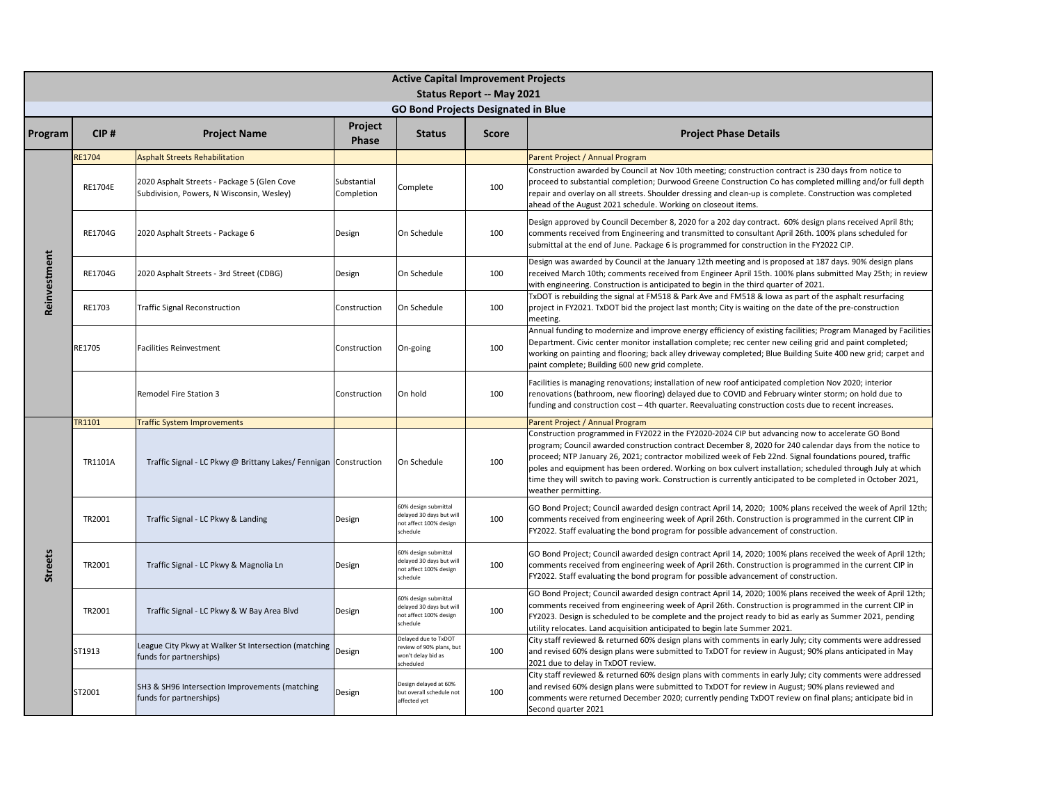|                |         |                                                                                          |                           | <b>Active Capital Improvement Projects</b>                                             |                           |                                                                                                                                                                                                                                                                                                                                                                                                                                                                                                                                                                               |
|----------------|---------|------------------------------------------------------------------------------------------|---------------------------|----------------------------------------------------------------------------------------|---------------------------|-------------------------------------------------------------------------------------------------------------------------------------------------------------------------------------------------------------------------------------------------------------------------------------------------------------------------------------------------------------------------------------------------------------------------------------------------------------------------------------------------------------------------------------------------------------------------------|
|                |         |                                                                                          |                           |                                                                                        | Status Report -- May 2021 |                                                                                                                                                                                                                                                                                                                                                                                                                                                                                                                                                                               |
|                |         |                                                                                          |                           | <b>GO Bond Projects Designated in Blue</b>                                             |                           |                                                                                                                                                                                                                                                                                                                                                                                                                                                                                                                                                                               |
| Program        | CIP#    | <b>Project Name</b>                                                                      | Project<br><b>Phase</b>   | <b>Status</b>                                                                          | <b>Score</b>              | <b>Project Phase Details</b>                                                                                                                                                                                                                                                                                                                                                                                                                                                                                                                                                  |
|                | RE1704  | <b>Asphalt Streets Rehabilitation</b>                                                    |                           |                                                                                        |                           | Parent Project / Annual Program                                                                                                                                                                                                                                                                                                                                                                                                                                                                                                                                               |
| Reinvestment   | RE1704E | 2020 Asphalt Streets - Package 5 (Glen Cove<br>Subdivision, Powers, N Wisconsin, Wesley) | Substantial<br>Completion | Complete                                                                               | 100                       | Construction awarded by Council at Nov 10th meeting; construction contract is 230 days from notice to<br>proceed to substantial completion; Durwood Greene Construction Co has completed milling and/or full depth<br>repair and overlay on all streets. Shoulder dressing and clean-up is complete. Construction was completed<br>ahead of the August 2021 schedule. Working on closeout items.                                                                                                                                                                              |
|                | RE1704G | 2020 Asphalt Streets - Package 6                                                         | Design                    | On Schedule                                                                            | 100                       | Design approved by Council December 8, 2020 for a 202 day contract. 60% design plans received April 8th;<br>comments received from Engineering and transmitted to consultant April 26th. 100% plans scheduled for<br>submittal at the end of June. Package 6 is programmed for construction in the FY2022 CIP.                                                                                                                                                                                                                                                                |
|                | RE1704G | 2020 Asphalt Streets - 3rd Street (CDBG)                                                 | Design                    | On Schedule                                                                            | 100                       | Design was awarded by Council at the January 12th meeting and is proposed at 187 days. 90% design plans<br>received March 10th; comments received from Engineer April 15th. 100% plans submitted May 25th; in review<br>with engineering. Construction is anticipated to begin in the third quarter of 2021.                                                                                                                                                                                                                                                                  |
|                | RE1703  | <b>Traffic Signal Reconstruction</b>                                                     | Construction              | On Schedule                                                                            | 100                       | TxDOT is rebuilding the signal at FM518 & Park Ave and FM518 & lowa as part of the asphalt resurfacing<br>project in FY2021. TxDOT bid the project last month; City is waiting on the date of the pre-construction<br>meeting.                                                                                                                                                                                                                                                                                                                                                |
|                | RE1705  | Facilities Reinvestment                                                                  | Construction              | On-going                                                                               | 100                       | Annual funding to modernize and improve energy efficiency of existing facilities; Program Managed by Facilities<br>Department. Civic center monitor installation complete; rec center new ceiling grid and paint completed;<br>working on painting and flooring; back alley driveway completed; Blue Building Suite 400 new grid; carpet and<br>paint complete; Building 600 new grid complete.                                                                                                                                                                               |
|                |         | Remodel Fire Station 3                                                                   | Construction              | On hold                                                                                | 100                       | Facilities is managing renovations; installation of new roof anticipated completion Nov 2020; interior<br>renovations (bathroom, new flooring) delayed due to COVID and February winter storm; on hold due to<br>funding and construction cost - 4th quarter. Reevaluating construction costs due to recent increases.                                                                                                                                                                                                                                                        |
|                | TR1101  | <b>Traffic System Improvements</b>                                                       |                           |                                                                                        |                           | Parent Project / Annual Program                                                                                                                                                                                                                                                                                                                                                                                                                                                                                                                                               |
|                | TR1101A | Traffic Signal - LC Pkwy @ Brittany Lakes/ Fennigan Construction                         |                           | On Schedule                                                                            | 100                       | Construction programmed in FY2022 in the FY2020-2024 CIP but advancing now to accelerate GO Bond<br>program; Council awarded construction contract December 8, 2020 for 240 calendar days from the notice to<br>proceed; NTP January 26, 2021; contractor mobilized week of Feb 22nd. Signal foundations poured, traffic<br>poles and equipment has been ordered. Working on box culvert installation; scheduled through July at which<br>time they will switch to paving work. Construction is currently anticipated to be completed in October 2021,<br>weather permitting. |
|                | TR2001  | Traffic Signal - LC Pkwy & Landing                                                       | Design                    | 60% design submittal<br>delayed 30 days but will<br>not affect 100% design<br>schedule | 100                       | GO Bond Project; Council awarded design contract April 14, 2020; 100% plans received the week of April 12th;<br>comments received from engineering week of April 26th. Construction is programmed in the current CIP in<br>FY2022. Staff evaluating the bond program for possible advancement of construction.                                                                                                                                                                                                                                                                |
| <b>Streets</b> | TR2001  | Traffic Signal - LC Pkwy & Magnolia Ln                                                   | Design                    | 60% design submittal<br>delayed 30 days but will<br>not affect 100% design<br>chedule  | 100                       | GO Bond Project; Council awarded design contract April 14, 2020; 100% plans received the week of April 12th;<br>comments received from engineering week of April 26th. Construction is programmed in the current CIP in<br>FY2022. Staff evaluating the bond program for possible advancement of construction.                                                                                                                                                                                                                                                                |
|                | TR2001  | Traffic Signal - LC Pkwy & W Bay Area Blvd                                               | Design                    | 60% design submittal<br>delayed 30 days but will<br>not affect 100% design<br>schedule | 100                       | GO Bond Project; Council awarded design contract April 14, 2020; 100% plans received the week of April 12th;<br>comments received from engineering week of April 26th. Construction is programmed in the current CIP in<br>FY2023. Design is scheduled to be complete and the project ready to bid as early as Summer 2021, pending<br>utility relocates. Land acquisition anticipated to begin late Summer 2021.                                                                                                                                                             |
|                | ST1913  | League City Pkwy at Walker St Intersection (matching<br>funds for partnerships)          | Design                    | Delayed due to TxDOT<br>eview of 90% plans, but<br>won't delay bid as<br>cheduled      | 100                       | City staff reviewed & returned 60% design plans with comments in early July; city comments were addressed<br>and revised 60% design plans were submitted to TxDOT for review in August; 90% plans anticipated in May<br>2021 due to delay in TxDOT review.                                                                                                                                                                                                                                                                                                                    |
|                | ST2001  | SH3 & SH96 Intersection Improvements (matching<br>funds for partnerships)                | Design                    | Design delayed at 60%<br>but overall schedule not<br>affected yet                      | 100                       | City staff reviewed & returned 60% design plans with comments in early July; city comments were addressed<br>and revised 60% design plans were submitted to TxDOT for review in August; 90% plans reviewed and<br>comments were returned December 2020; currently pending TxDOT review on final plans; anticipate bid in<br>Second quarter 2021                                                                                                                                                                                                                               |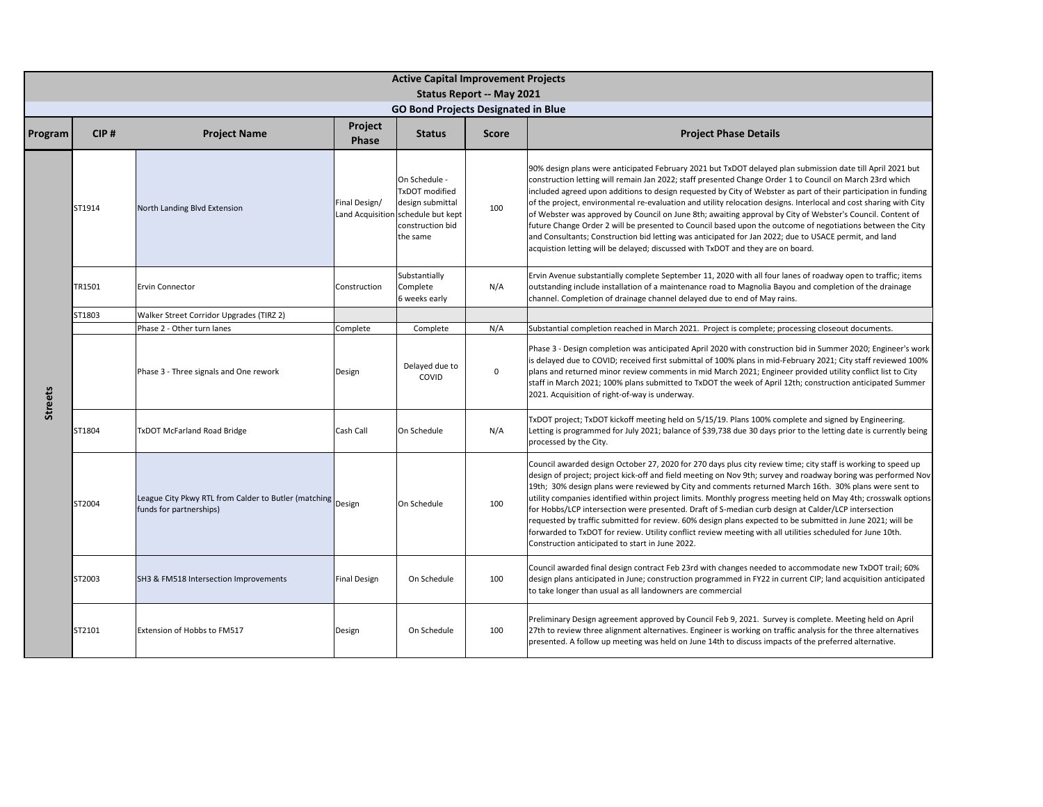|                | <b>Active Capital Improvement Projects</b><br><b>Status Report -- May 2021</b><br><b>GO Bond Projects Designated in Blue</b> |                                                                                        |                                   |                                                                                                                 |              |                                                                                                                                                                                                                                                                                                                                                                                                                                                                                                                                                                                                                                                                                                                                                                                                                                                                                        |  |  |  |  |  |
|----------------|------------------------------------------------------------------------------------------------------------------------------|----------------------------------------------------------------------------------------|-----------------------------------|-----------------------------------------------------------------------------------------------------------------|--------------|----------------------------------------------------------------------------------------------------------------------------------------------------------------------------------------------------------------------------------------------------------------------------------------------------------------------------------------------------------------------------------------------------------------------------------------------------------------------------------------------------------------------------------------------------------------------------------------------------------------------------------------------------------------------------------------------------------------------------------------------------------------------------------------------------------------------------------------------------------------------------------------|--|--|--|--|--|
| Program        | CIP#                                                                                                                         | <b>Project Name</b>                                                                    | Project                           | <b>Status</b>                                                                                                   | <b>Score</b> | <b>Project Phase Details</b>                                                                                                                                                                                                                                                                                                                                                                                                                                                                                                                                                                                                                                                                                                                                                                                                                                                           |  |  |  |  |  |
|                |                                                                                                                              |                                                                                        | <b>Phase</b>                      |                                                                                                                 |              |                                                                                                                                                                                                                                                                                                                                                                                                                                                                                                                                                                                                                                                                                                                                                                                                                                                                                        |  |  |  |  |  |
|                | ST1914                                                                                                                       | North Landing Blvd Extension                                                           | Final Design/<br>Land Acquisition | On Schedule -<br><b>TxDOT</b> modified<br>design submittal<br>schedule but kept<br>construction bid<br>the same | 100          | 90% design plans were anticipated February 2021 but TxDOT delayed plan submission date till April 2021 but<br>construction letting will remain Jan 2022; staff presented Change Order 1 to Council on March 23rd which<br>included agreed upon additions to design requested by City of Webster as part of their participation in funding<br>of the project, environmental re-evaluation and utility relocation designs. Interlocal and cost sharing with City<br>of Webster was approved by Council on June 8th; awaiting approval by City of Webster's Council. Content of<br>future Change Order 2 will be presented to Council based upon the outcome of negotiations between the City<br>and Consultants; Construction bid letting was anticipated for Jan 2022; due to USACE permit, and land<br>acquistion letting will be delayed; discussed with TxDOT and they are on board. |  |  |  |  |  |
|                | TR1501                                                                                                                       | <b>Ervin Connector</b>                                                                 | Construction                      | Substantially<br>Complete<br>6 weeks early                                                                      | N/A          | Ervin Avenue substantially complete September 11, 2020 with all four lanes of roadway open to traffic; items<br>outstanding include installation of a maintenance road to Magnolia Bayou and completion of the drainage<br>channel. Completion of drainage channel delayed due to end of May rains.                                                                                                                                                                                                                                                                                                                                                                                                                                                                                                                                                                                    |  |  |  |  |  |
|                | ST1803                                                                                                                       | Walker Street Corridor Upgrades (TIRZ 2)                                               |                                   |                                                                                                                 |              |                                                                                                                                                                                                                                                                                                                                                                                                                                                                                                                                                                                                                                                                                                                                                                                                                                                                                        |  |  |  |  |  |
|                |                                                                                                                              | Phase 2 - Other turn lanes                                                             | Complete                          | Complete                                                                                                        | N/A          | Substantial completion reached in March 2021. Project is complete; processing closeout documents.                                                                                                                                                                                                                                                                                                                                                                                                                                                                                                                                                                                                                                                                                                                                                                                      |  |  |  |  |  |
| <b>Streets</b> |                                                                                                                              | Phase 3 - Three signals and One rework                                                 | Design                            | Delayed due to<br>COVID                                                                                         | $\mathbf{0}$ | Phase 3 - Design completion was anticipated April 2020 with construction bid in Summer 2020; Engineer's work<br>is delayed due to COVID; received first submittal of 100% plans in mid-February 2021; City staff reviewed 100%<br>plans and returned minor review comments in mid March 2021; Engineer provided utility conflict list to City<br>staff in March 2021; 100% plans submitted to TxDOT the week of April 12th; construction anticipated Summer<br>2021. Acquisition of right-of-way is underway.                                                                                                                                                                                                                                                                                                                                                                          |  |  |  |  |  |
|                | ST1804                                                                                                                       | TxDOT McFarland Road Bridge                                                            | Cash Call                         | On Schedule                                                                                                     | N/A          | TxDOT project; TxDOT kickoff meeting held on 5/15/19. Plans 100% complete and signed by Engineering.<br>Letting is programmed for July 2021; balance of \$39,738 due 30 days prior to the letting date is currently being<br>processed by the City.                                                                                                                                                                                                                                                                                                                                                                                                                                                                                                                                                                                                                                    |  |  |  |  |  |
|                | ST2004                                                                                                                       | League City Pkwy RTL from Calder to Butler (matching Design<br>funds for partnerships) |                                   | On Schedule                                                                                                     | 100          | Council awarded design October 27, 2020 for 270 days plus city review time; city staff is working to speed up<br>design of project; project kick-off and field meeting on Nov 9th; survey and roadway boring was performed Nov<br>19th; 30% design plans were reviewed by City and comments returned March 16th. 30% plans were sent to<br>utility companies identified within project limits. Monthly progress meeting held on May 4th; crosswalk options<br>for Hobbs/LCP intersection were presented. Draft of S-median curb design at Calder/LCP intersection<br>requested by traffic submitted for review. 60% design plans expected to be submitted in June 2021; will be<br>forwarded to TxDOT for review. Utility conflict review meeting with all utilities scheduled for June 10th.<br>Construction anticipated to start in June 2022.                                       |  |  |  |  |  |
|                | ST2003                                                                                                                       | SH3 & FM518 Intersection Improvements                                                  | <b>Final Design</b>               | On Schedule                                                                                                     | 100          | Council awarded final design contract Feb 23rd with changes needed to accommodate new TxDOT trail; 60%<br>design plans anticipated in June; construction programmed in FY22 in current CIP; land acquisition anticipated<br>to take longer than usual as all landowners are commercial                                                                                                                                                                                                                                                                                                                                                                                                                                                                                                                                                                                                 |  |  |  |  |  |
|                | ST2101                                                                                                                       | Extension of Hobbs to FM517                                                            | Design                            | On Schedule                                                                                                     | 100          | Preliminary Design agreement approved by Council Feb 9, 2021. Survey is complete. Meeting held on April<br>27th to review three alignment alternatives. Engineer is working on traffic analysis for the three alternatives<br>presented. A follow up meeting was held on June 14th to discuss impacts of the preferred alternative.                                                                                                                                                                                                                                                                                                                                                                                                                                                                                                                                                    |  |  |  |  |  |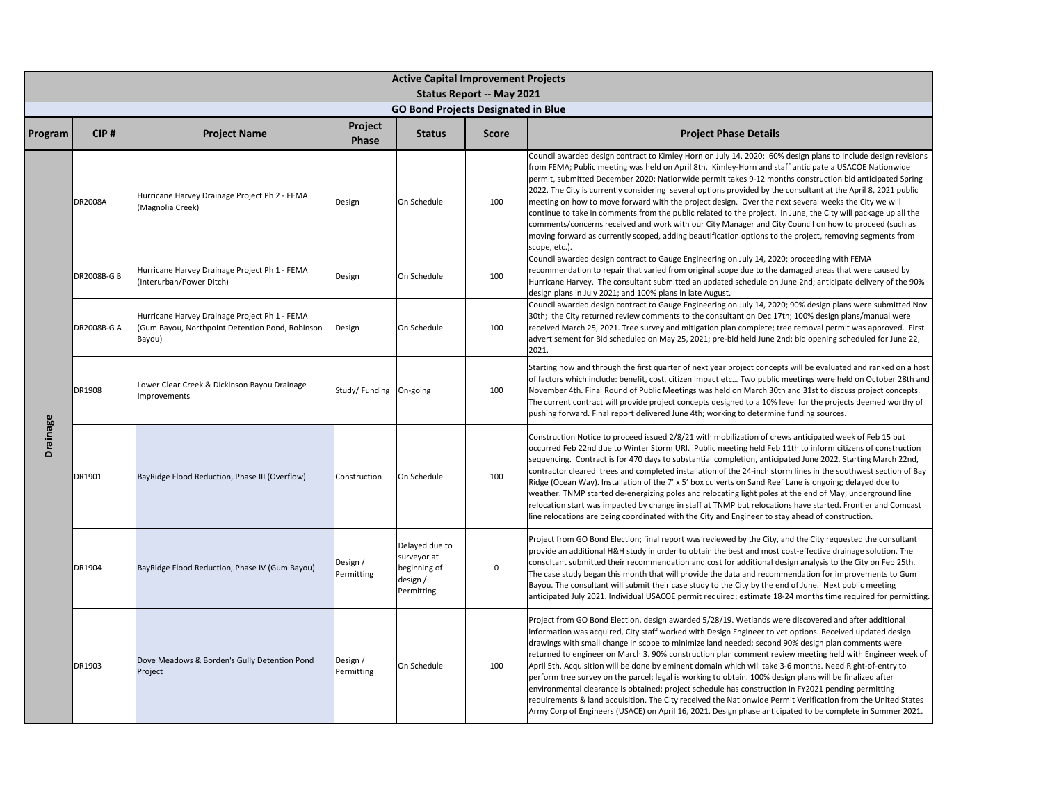|          | <b>Active Capital Improvement Projects</b> |                                                                                                            |                         |                                                                         |                                  |                                                                                                                                                                                                                                                                                                                                                                                                                                                                                                                                                                                                                                                                                                                                                                                                                                                                                                                                                                                               |  |  |  |  |  |
|----------|--------------------------------------------|------------------------------------------------------------------------------------------------------------|-------------------------|-------------------------------------------------------------------------|----------------------------------|-----------------------------------------------------------------------------------------------------------------------------------------------------------------------------------------------------------------------------------------------------------------------------------------------------------------------------------------------------------------------------------------------------------------------------------------------------------------------------------------------------------------------------------------------------------------------------------------------------------------------------------------------------------------------------------------------------------------------------------------------------------------------------------------------------------------------------------------------------------------------------------------------------------------------------------------------------------------------------------------------|--|--|--|--|--|
|          |                                            |                                                                                                            |                         |                                                                         | <b>Status Report -- May 2021</b> |                                                                                                                                                                                                                                                                                                                                                                                                                                                                                                                                                                                                                                                                                                                                                                                                                                                                                                                                                                                               |  |  |  |  |  |
|          |                                            |                                                                                                            |                         | <b>GO Bond Projects Designated in Blue</b>                              |                                  |                                                                                                                                                                                                                                                                                                                                                                                                                                                                                                                                                                                                                                                                                                                                                                                                                                                                                                                                                                                               |  |  |  |  |  |
| Program  | CIP#                                       | <b>Project Name</b>                                                                                        | Project<br><b>Phase</b> | <b>Status</b>                                                           | <b>Score</b>                     | <b>Project Phase Details</b>                                                                                                                                                                                                                                                                                                                                                                                                                                                                                                                                                                                                                                                                                                                                                                                                                                                                                                                                                                  |  |  |  |  |  |
|          | <b>DR2008A</b>                             | Hurricane Harvey Drainage Project Ph 2 - FEMA<br>(Magnolia Creek)                                          | Design                  | On Schedule                                                             | 100                              | Council awarded design contract to Kimley Horn on July 14, 2020; 60% design plans to include design revisions<br>from FEMA; Public meeting was held on April 8th. Kimley-Horn and staff anticipate a USACOE Nationwide<br>permit, submitted December 2020; Nationwide permit takes 9-12 months construction bid anticipated Spring<br>2022. The City is currently considering several options provided by the consultant at the April 8, 2021 public<br>meeting on how to move forward with the project design. Over the next several weeks the City we will<br>continue to take in comments from the public related to the project. In June, the City will package up all the<br>comments/concerns received and work with our City Manager and City Council on how to proceed (such as<br>moving forward as currently scoped, adding beautification options to the project, removing segments from<br>scope, etc.).                                                                          |  |  |  |  |  |
|          | DR2008B-G B                                | Hurricane Harvey Drainage Project Ph 1 - FEMA<br>(Interurban/Power Ditch)                                  | Design                  | On Schedule                                                             | 100                              | Council awarded design contract to Gauge Engineering on July 14, 2020; proceeding with FEMA<br>recommendation to repair that varied from original scope due to the damaged areas that were caused by<br>Hurricane Harvey. The consultant submitted an updated schedule on June 2nd; anticipate delivery of the 90%<br>design plans in July 2021; and 100% plans in late August.                                                                                                                                                                                                                                                                                                                                                                                                                                                                                                                                                                                                               |  |  |  |  |  |
|          | <b>DR2008B-G A</b>                         | Hurricane Harvey Drainage Project Ph 1 - FEMA<br>(Gum Bayou, Northpoint Detention Pond, Robinson<br>Bayou) | Design                  | On Schedule                                                             | 100                              | Council awarded design contract to Gauge Engineering on July 14, 2020; 90% design plans were submitted Nov<br>30th; the City returned review comments to the consultant on Dec 17th; 100% design plans/manual were<br>received March 25, 2021. Tree survey and mitigation plan complete; tree removal permit was approved. First<br>advertisement for Bid scheduled on May 25, 2021; pre-bid held June 2nd; bid opening scheduled for June 22,<br>2021.                                                                                                                                                                                                                                                                                                                                                                                                                                                                                                                                       |  |  |  |  |  |
|          | DR1908                                     | Lower Clear Creek & Dickinson Bayou Drainage<br>Improvements                                               | Study/Funding On-going  |                                                                         | 100                              | Starting now and through the first quarter of next year project concepts will be evaluated and ranked on a host<br>of factors which include: benefit, cost, citizen impact etc Two public meetings were held on October 28th and<br>November 4th. Final Round of Public Meetings was held on March 30th and 31st to discuss project concepts.<br>The current contract will provide project concepts designed to a 10% level for the projects deemed worthy of<br>pushing forward. Final report delivered June 4th; working to determine funding sources.                                                                                                                                                                                                                                                                                                                                                                                                                                      |  |  |  |  |  |
| Drainage | DR1901                                     | BayRidge Flood Reduction, Phase III (Overflow)                                                             | Construction            | On Schedule                                                             | 100                              | Construction Notice to proceed issued 2/8/21 with mobilization of crews anticipated week of Feb 15 but<br>occurred Feb 22nd due to Winter Storm URI. Public meeting held Feb 11th to inform citizens of construction<br>sequencing. Contract is for 470 days to substantial completion, anticipated June 2022. Starting March 22nd,<br>contractor cleared trees and completed installation of the 24-inch storm lines in the southwest section of Bay<br>Ridge (Ocean Way). Installation of the 7' x 5' box culverts on Sand Reef Lane is ongoing; delayed due to<br>weather. TNMP started de-energizing poles and relocating light poles at the end of May; underground line<br>relocation start was impacted by change in staff at TNMP but relocations have started. Frontier and Comcast<br>line relocations are being coordinated with the City and Engineer to stay ahead of construction.                                                                                              |  |  |  |  |  |
|          | DR1904                                     | BayRidge Flood Reduction, Phase IV (Gum Bayou)                                                             | Design /<br>Permitting  | Delayed due to<br>surveyor at<br>beginning of<br>design /<br>Permitting | $\mathsf 0$                      | Project from GO Bond Election; final report was reviewed by the City, and the City requested the consultant<br>provide an additional H&H study in order to obtain the best and most cost-effective drainage solution. The<br>consultant submitted their recommendation and cost for additional design analysis to the City on Feb 25th.<br>The case study began this month that will provide the data and recommendation for improvements to Gum<br>Bayou. The consultant will submit their case study to the City by the end of June. Next public meeting<br>anticipated July 2021. Individual USACOE permit required; estimate 18-24 months time required for permitting.                                                                                                                                                                                                                                                                                                                   |  |  |  |  |  |
|          | DR1903                                     | Dove Meadows & Borden's Gully Detention Pond<br>Project                                                    | Design /<br>Permitting  | On Schedule                                                             | 100                              | Project from GO Bond Election, design awarded 5/28/19. Wetlands were discovered and after additional<br>information was acquired, City staff worked with Design Engineer to vet options. Received updated design<br>drawings with small change in scope to minimize land needed; second 90% design plan comments were<br>returned to engineer on March 3. 90% construction plan comment review meeting held with Engineer week of<br>April 5th. Acquisition will be done by eminent domain which will take 3-6 months. Need Right-of-entry to<br>perform tree survey on the parcel; legal is working to obtain. 100% design plans will be finalized after<br>environmental clearance is obtained; project schedule has construction in FY2021 pending permitting<br>requirements & land acquisition. The City received the Nationwide Permit Verification from the United States<br>Army Corp of Engineers (USACE) on April 16, 2021. Design phase anticipated to be complete in Summer 2021. |  |  |  |  |  |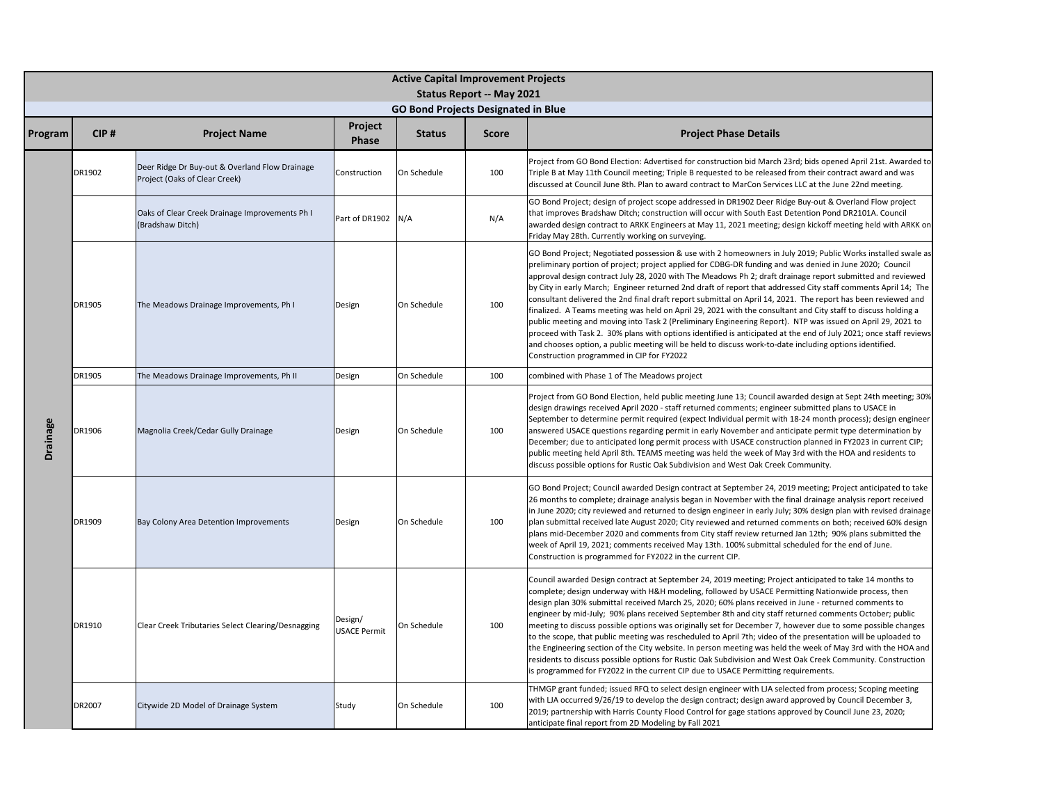|          | <b>Active Capital Improvement Projects</b><br><b>Status Report -- May 2021</b> |                                                                                 |                                |                                            |              |                                                                                                                                                                                                                                                                                                                                                                                                                                                                                                                                                                                                                                                                                                                                                                                                                                                                                                                                                                                                                                                                                        |  |  |  |  |  |
|----------|--------------------------------------------------------------------------------|---------------------------------------------------------------------------------|--------------------------------|--------------------------------------------|--------------|----------------------------------------------------------------------------------------------------------------------------------------------------------------------------------------------------------------------------------------------------------------------------------------------------------------------------------------------------------------------------------------------------------------------------------------------------------------------------------------------------------------------------------------------------------------------------------------------------------------------------------------------------------------------------------------------------------------------------------------------------------------------------------------------------------------------------------------------------------------------------------------------------------------------------------------------------------------------------------------------------------------------------------------------------------------------------------------|--|--|--|--|--|
|          |                                                                                |                                                                                 |                                | <b>GO Bond Projects Designated in Blue</b> |              |                                                                                                                                                                                                                                                                                                                                                                                                                                                                                                                                                                                                                                                                                                                                                                                                                                                                                                                                                                                                                                                                                        |  |  |  |  |  |
| Program  | CIP#                                                                           | <b>Project Name</b>                                                             | Project<br>Phase               | <b>Status</b>                              | <b>Score</b> | <b>Project Phase Details</b>                                                                                                                                                                                                                                                                                                                                                                                                                                                                                                                                                                                                                                                                                                                                                                                                                                                                                                                                                                                                                                                           |  |  |  |  |  |
|          | DR1902                                                                         | Deer Ridge Dr Buy-out & Overland Flow Drainage<br>Project (Oaks of Clear Creek) | Construction                   | On Schedule                                | 100          | Project from GO Bond Election: Advertised for construction bid March 23rd; bids opened April 21st. Awarded to<br>Triple B at May 11th Council meeting; Triple B requested to be released from their contract award and was<br>discussed at Council June 8th. Plan to award contract to MarCon Services LLC at the June 22nd meeting.                                                                                                                                                                                                                                                                                                                                                                                                                                                                                                                                                                                                                                                                                                                                                   |  |  |  |  |  |
|          |                                                                                | Oaks of Clear Creek Drainage Improvements Ph I<br>(Bradshaw Ditch)              | Part of DR1902                 | N/A                                        | N/A          | GO Bond Project; design of project scope addressed in DR1902 Deer Ridge Buy-out & Overland Flow project<br>that improves Bradshaw Ditch; construction will occur with South East Detention Pond DR2101A. Council<br>awarded design contract to ARKK Engineers at May 11, 2021 meeting; design kickoff meeting held with ARKK on<br>Friday May 28th. Currently working on surveying.                                                                                                                                                                                                                                                                                                                                                                                                                                                                                                                                                                                                                                                                                                    |  |  |  |  |  |
|          | DR1905                                                                         | The Meadows Drainage Improvements, Ph I                                         | Design                         | On Schedule                                | 100          | GO Bond Project; Negotiated possession & use with 2 homeowners in July 2019; Public Works installed swale as<br>preliminary portion of project; project applied for CDBG-DR funding and was denied in June 2020; Council<br>approval design contract July 28, 2020 with The Meadows Ph 2; draft drainage report submitted and reviewed<br>by City in early March; Engineer returned 2nd draft of report that addressed City staff comments April 14; The<br>consultant delivered the 2nd final draft report submittal on April 14, 2021. The report has been reviewed and<br>finalized. A Teams meeting was held on April 29, 2021 with the consultant and City staff to discuss holding a<br>public meeting and moving into Task 2 (Preliminary Engineering Report). NTP was issued on April 29, 2021 to<br>proceed with Task 2. 30% plans with options identified is anticipated at the end of July 2021; once staff reviews<br>and chooses option, a public meeting will be held to discuss work-to-date including options identified.<br>Construction programmed in CIP for FY2022 |  |  |  |  |  |
|          | DR1905                                                                         | The Meadows Drainage Improvements, Ph II                                        | Design                         | On Schedule                                | 100          | combined with Phase 1 of The Meadows project                                                                                                                                                                                                                                                                                                                                                                                                                                                                                                                                                                                                                                                                                                                                                                                                                                                                                                                                                                                                                                           |  |  |  |  |  |
| Drainage | DR1906                                                                         | Magnolia Creek/Cedar Gully Drainage                                             | Design                         | On Schedule                                | 100          | Project from GO Bond Election, held public meeting June 13; Council awarded design at Sept 24th meeting; 30%<br>design drawings received April 2020 - staff returned comments; engineer submitted plans to USACE in<br>September to determine permit required (expect Individual permit with 18-24 month process); design engineer<br>answered USACE questions regarding permit in early November and anticipate permit type determination by<br>December; due to anticipated long permit process with USACE construction planned in FY2023 in current CIP;<br>public meeting held April 8th. TEAMS meeting was held the week of May 3rd with the HOA and residents to<br>discuss possible options for Rustic Oak Subdivision and West Oak Creek Community.                                                                                                                                                                                                                                                                                                                            |  |  |  |  |  |
|          | DR1909                                                                         | Bay Colony Area Detention Improvements                                          | Design                         | On Schedule                                | 100          | GO Bond Project; Council awarded Design contract at September 24, 2019 meeting; Project anticipated to take<br>26 months to complete; drainage analysis began in November with the final drainage analysis report received<br>in June 2020; city reviewed and returned to design engineer in early July; 30% design plan with revised drainage<br>plan submittal received late August 2020; City reviewed and returned comments on both; received 60% design<br>plans mid-December 2020 and comments from City staff review returned Jan 12th; 90% plans submitted the<br>week of April 19, 2021; comments received May 13th. 100% submittal scheduled for the end of June.<br>Construction is programmed for FY2022 in the current CIP.                                                                                                                                                                                                                                                                                                                                               |  |  |  |  |  |
|          | DR1910                                                                         | Clear Creek Tributaries Select Clearing/Desnagging                              | Design/<br><b>USACE Permit</b> | On Schedule                                | 100          | Council awarded Design contract at September 24, 2019 meeting; Project anticipated to take 14 months to<br>complete; design underway with H&H modeling, followed by USACE Permitting Nationwide process, then<br>design plan 30% submittal received March 25, 2020; 60% plans received in June - returned comments to<br>engineer by mid-July; 90% plans received September 8th and city staff returned comments October; public<br>meeting to discuss possible options was originally set for December 7, however due to some possible changes<br>to the scope, that public meeting was rescheduled to April 7th; video of the presentation will be uploaded to<br>the Engineering section of the City website. In person meeting was held the week of May 3rd with the HOA and<br>residents to discuss possible options for Rustic Oak Subdivision and West Oak Creek Community. Construction<br>is programmed for FY2022 in the current CIP due to USACE Permitting requirements.                                                                                                   |  |  |  |  |  |
|          | DR2007                                                                         | Citywide 2D Model of Drainage System                                            | Study                          | On Schedule                                | 100          | THMGP grant funded; issued RFQ to select design engineer with LJA selected from process; Scoping meeting<br>with LJA occurred 9/26/19 to develop the design contract; design award approved by Council December 3,<br>2019; partnership with Harris County Flood Control for gage stations approved by Council June 23, 2020;<br>anticipate final report from 2D Modeling by Fall 2021                                                                                                                                                                                                                                                                                                                                                                                                                                                                                                                                                                                                                                                                                                 |  |  |  |  |  |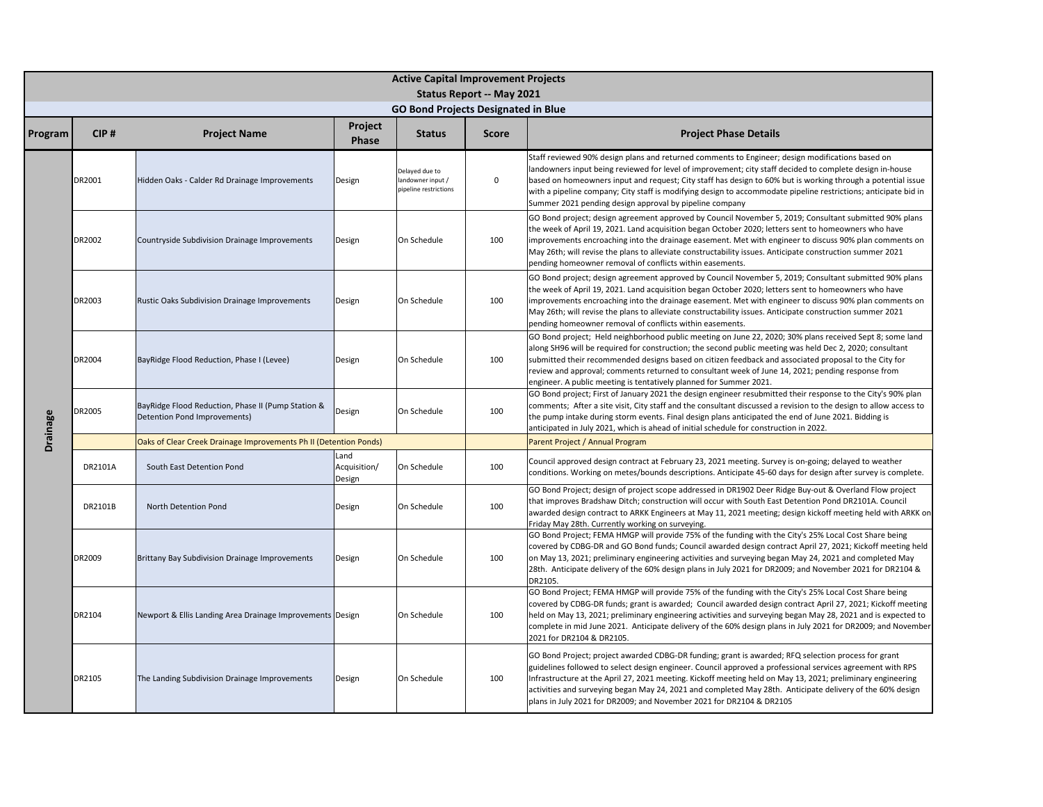|          | <b>Active Capital Improvement Projects</b> |                                                                                    |                                |                                                             |                                  |                                                                                                                                                                                                                                                                                                                                                                                                                                                                                                                       |  |  |  |  |
|----------|--------------------------------------------|------------------------------------------------------------------------------------|--------------------------------|-------------------------------------------------------------|----------------------------------|-----------------------------------------------------------------------------------------------------------------------------------------------------------------------------------------------------------------------------------------------------------------------------------------------------------------------------------------------------------------------------------------------------------------------------------------------------------------------------------------------------------------------|--|--|--|--|
|          |                                            |                                                                                    |                                |                                                             | <b>Status Report -- May 2021</b> |                                                                                                                                                                                                                                                                                                                                                                                                                                                                                                                       |  |  |  |  |
|          |                                            |                                                                                    |                                | <b>GO Bond Projects Designated in Blue</b>                  |                                  |                                                                                                                                                                                                                                                                                                                                                                                                                                                                                                                       |  |  |  |  |
| Program  | CIP#                                       | <b>Project Name</b>                                                                | Project<br>Phase               | <b>Status</b>                                               | Score                            | <b>Project Phase Details</b>                                                                                                                                                                                                                                                                                                                                                                                                                                                                                          |  |  |  |  |
|          | DR2001                                     | Hidden Oaks - Calder Rd Drainage Improvements                                      | Design                         | Delayed due to<br>andowner input /<br>sipeline restrictions | $\mathsf 0$                      | Staff reviewed 90% design plans and returned comments to Engineer; design modifications based on<br>landowners input being reviewed for level of improvement; city staff decided to complete design in-house<br>based on homeowners input and request; City staff has design to 60% but is working through a potential issue<br>with a pipeline company; City staff is modifying design to accommodate pipeline restrictions; anticipate bid in<br>Summer 2021 pending design approval by pipeline company            |  |  |  |  |
|          | DR2002                                     | Countryside Subdivision Drainage Improvements                                      | Design                         | On Schedule                                                 | 100                              | GO Bond project; design agreement approved by Council November 5, 2019; Consultant submitted 90% plans<br>the week of April 19, 2021. Land acquisition began October 2020; letters sent to homeowners who have<br>improvements encroaching into the drainage easement. Met with engineer to discuss 90% plan comments on<br>May 26th; will revise the plans to alleviate constructability issues. Anticipate construction summer 2021<br>pending homeowner removal of conflicts within easements.                     |  |  |  |  |
|          | DR2003                                     | Rustic Oaks Subdivision Drainage Improvements                                      | Design                         | On Schedule                                                 | 100                              | GO Bond project; design agreement approved by Council November 5, 2019; Consultant submitted 90% plans<br>the week of April 19, 2021. Land acquisition began October 2020; letters sent to homeowners who have<br>improvements encroaching into the drainage easement. Met with engineer to discuss 90% plan comments on<br>May 26th; will revise the plans to alleviate constructability issues. Anticipate construction summer 2021<br>pending homeowner removal of conflicts within easements.                     |  |  |  |  |
|          | DR2004                                     | BayRidge Flood Reduction, Phase I (Levee)                                          | Design                         | On Schedule                                                 | 100                              | GO Bond project; Held neighborhood public meeting on June 22, 2020; 30% plans received Sept 8; some land<br>along SH96 will be required for construction; the second public meeting was held Dec 2, 2020; consultant<br>submitted their recommended designs based on citizen feedback and associated proposal to the City for<br>review and approval; comments returned to consultant week of June 14, 2021; pending response from<br>engineer. A public meeting is tentatively planned for Summer 2021.              |  |  |  |  |
| Drainage | DR2005                                     | BayRidge Flood Reduction, Phase II (Pump Station &<br>Detention Pond Improvements) | Design                         | On Schedule                                                 | 100                              | GO Bond project; First of January 2021 the design engineer resubmitted their response to the City's 90% plan<br>comments; After a site visit, City staff and the consultant discussed a revision to the design to allow access to<br>the pump intake during storm events. Final design plans anticipated the end of June 2021. Bidding is<br>anticipated in July 2021, which is ahead of initial schedule for construction in 2022.                                                                                   |  |  |  |  |
|          |                                            | Oaks of Clear Creek Drainage Improvements Ph II (Detention Ponds)                  |                                |                                                             |                                  | Parent Project / Annual Program                                                                                                                                                                                                                                                                                                                                                                                                                                                                                       |  |  |  |  |
|          | DR2101A                                    | South East Detention Pond                                                          | Land<br>Acquisition/<br>Design | On Schedule                                                 | 100                              | Council approved design contract at February 23, 2021 meeting. Survey is on-going; delayed to weather<br>conditions. Working on metes/bounds descriptions. Anticipate 45-60 days for design after survey is complete.                                                                                                                                                                                                                                                                                                 |  |  |  |  |
|          | DR2101B                                    | North Detention Pond                                                               | Design                         | On Schedule                                                 | 100                              | GO Bond Project; design of project scope addressed in DR1902 Deer Ridge Buy-out & Overland Flow project<br>that improves Bradshaw Ditch; construction will occur with South East Detention Pond DR2101A. Council<br>awarded design contract to ARKK Engineers at May 11, 2021 meeting; design kickoff meeting held with ARKK on<br>Friday May 28th. Currently working on surveying.                                                                                                                                   |  |  |  |  |
|          | DR2009                                     | Brittany Bay Subdivision Drainage Improvements                                     | Design                         | On Schedule                                                 | 100                              | GO Bond Project; FEMA HMGP will provide 75% of the funding with the City's 25% Local Cost Share being<br>covered by CDBG-DR and GO Bond funds; Council awarded design contract April 27, 2021; Kickoff meeting held<br>on May 13, 2021; preliminary engineering activities and surveying began May 24, 2021 and completed May<br>28th. Anticipate delivery of the 60% design plans in July 2021 for DR2009; and November 2021 for DR2104 &<br>DR2105.                                                                 |  |  |  |  |
|          | DR2104                                     | Newport & Ellis Landing Area Drainage Improvements Design                          |                                | On Schedule                                                 | 100                              | GO Bond Project; FEMA HMGP will provide 75% of the funding with the City's 25% Local Cost Share being<br>covered by CDBG-DR funds; grant is awarded; Council awarded design contract April 27, 2021; Kickoff meeting<br>held on May 13, 2021; preliminary engineering activities and surveying began May 28, 2021 and is expected to<br>complete in mid June 2021. Anticipate delivery of the 60% design plans in July 2021 for DR2009; and November<br>2021 for DR2104 & DR2105.                                     |  |  |  |  |
|          | DR2105                                     | The Landing Subdivision Drainage Improvements                                      | Design                         | On Schedule                                                 | 100                              | GO Bond Project; project awarded CDBG-DR funding; grant is awarded; RFQ selection process for grant<br>guidelines followed to select design engineer. Council approved a professional services agreement with RPS<br>Infrastructure at the April 27, 2021 meeting. Kickoff meeting held on May 13, 2021; preliminary engineering<br>activities and surveying began May 24, 2021 and completed May 28th. Anticipate delivery of the 60% design<br>plans in July 2021 for DR2009; and November 2021 for DR2104 & DR2105 |  |  |  |  |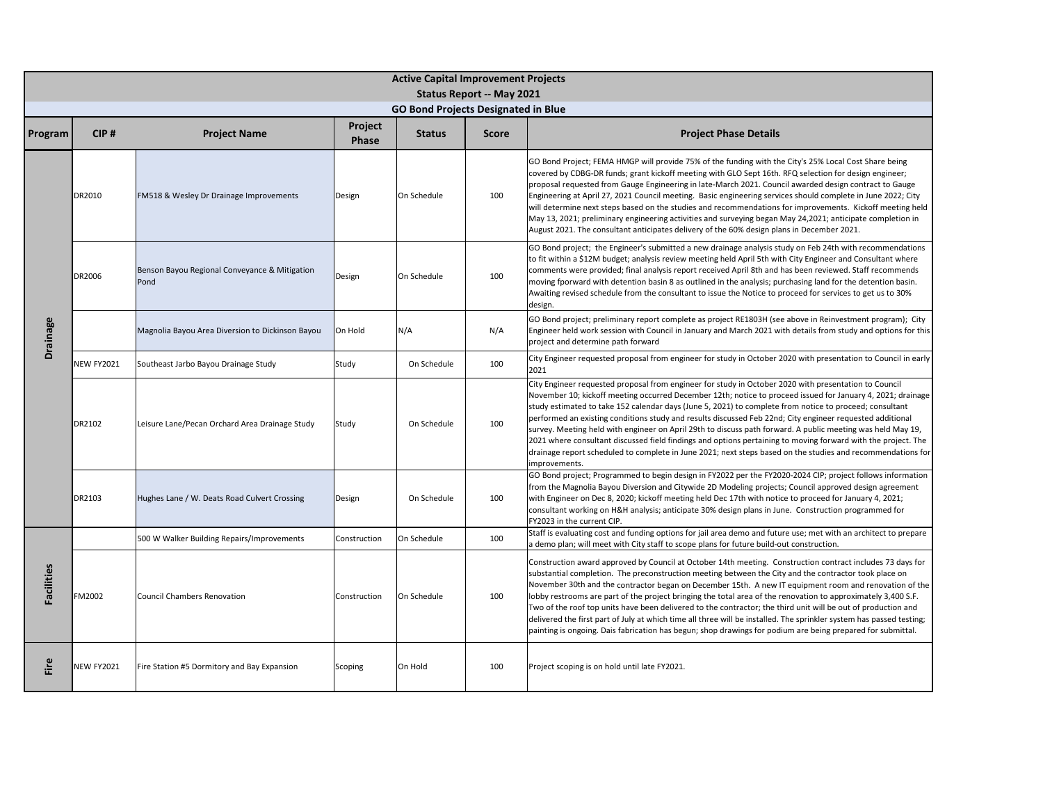|                   | <b>Active Capital Improvement Projects</b> |                                                       |                         |                                            |                                  |                                                                                                                                                                                                                                                                                                                                                                                                                                                                                                                                                                                                                                                                                                                                                                                                              |  |  |  |  |
|-------------------|--------------------------------------------|-------------------------------------------------------|-------------------------|--------------------------------------------|----------------------------------|--------------------------------------------------------------------------------------------------------------------------------------------------------------------------------------------------------------------------------------------------------------------------------------------------------------------------------------------------------------------------------------------------------------------------------------------------------------------------------------------------------------------------------------------------------------------------------------------------------------------------------------------------------------------------------------------------------------------------------------------------------------------------------------------------------------|--|--|--|--|
|                   |                                            |                                                       |                         |                                            | <b>Status Report -- May 2021</b> |                                                                                                                                                                                                                                                                                                                                                                                                                                                                                                                                                                                                                                                                                                                                                                                                              |  |  |  |  |
|                   |                                            |                                                       |                         | <b>GO Bond Projects Designated in Blue</b> |                                  |                                                                                                                                                                                                                                                                                                                                                                                                                                                                                                                                                                                                                                                                                                                                                                                                              |  |  |  |  |
| Program           | CIP#                                       | <b>Project Name</b>                                   | Project<br><b>Phase</b> | <b>Status</b>                              | <b>Score</b>                     | <b>Project Phase Details</b>                                                                                                                                                                                                                                                                                                                                                                                                                                                                                                                                                                                                                                                                                                                                                                                 |  |  |  |  |
|                   | DR2010                                     | FM518 & Wesley Dr Drainage Improvements               | Design                  | On Schedule                                | 100                              | GO Bond Project; FEMA HMGP will provide 75% of the funding with the City's 25% Local Cost Share being<br>covered by CDBG-DR funds; grant kickoff meeting with GLO Sept 16th. RFQ selection for design engineer;<br>proposal requested from Gauge Engineering in late-March 2021. Council awarded design contract to Gauge<br>Engineering at April 27, 2021 Council meeting. Basic engineering services should complete in June 2022; City<br>will determine next steps based on the studies and recommendations for improvements. Kickoff meeting held<br>May 13, 2021; preliminary engineering activities and surveying began May 24,2021; anticipate completion in<br>August 2021. The consultant anticipates delivery of the 60% design plans in December 2021.                                           |  |  |  |  |
| <b>Drainage</b>   | DR2006                                     | Benson Bayou Regional Conveyance & Mitigation<br>Pond | Design                  | On Schedule                                | 100                              | GO Bond project; the Engineer's submitted a new drainage analysis study on Feb 24th with recommendations<br>to fit within a \$12M budget; analysis review meeting held April 5th with City Engineer and Consultant where<br>comments were provided; final analysis report received April 8th and has been reviewed. Staff recommends<br>moving fporward with detention basin 8 as outlined in the analysis; purchasing land for the detention basin.<br>Awaiting revised schedule from the consultant to issue the Notice to proceed for services to get us to 30%<br>design.                                                                                                                                                                                                                                |  |  |  |  |
|                   |                                            | Magnolia Bayou Area Diversion to Dickinson Bayou      | On Hold                 | N/A                                        | N/A                              | GO Bond project; preliminary report complete as project RE1803H (see above in Reinvestment program); City<br>Engineer held work session with Council in January and March 2021 with details from study and options for this<br>project and determine path forward                                                                                                                                                                                                                                                                                                                                                                                                                                                                                                                                            |  |  |  |  |
|                   | <b>NEW FY2021</b>                          | Southeast Jarbo Bayou Drainage Study                  | Study                   | On Schedule                                | 100                              | City Engineer requested proposal from engineer for study in October 2020 with presentation to Council in early<br>2021                                                                                                                                                                                                                                                                                                                                                                                                                                                                                                                                                                                                                                                                                       |  |  |  |  |
|                   | DR2102                                     | Leisure Lane/Pecan Orchard Area Drainage Study        | Study                   | On Schedule                                | 100                              | City Engineer requested proposal from engineer for study in October 2020 with presentation to Council<br>November 10; kickoff meeting occurred December 12th; notice to proceed issued for January 4, 2021; drainage<br>study estimated to take 152 calendar days (June 5, 2021) to complete from notice to proceed; consultant<br>performed an existing conditions study and results discussed Feb 22nd; City engineer requested additional<br>survey. Meeting held with engineer on April 29th to discuss path forward. A public meeting was held May 19,<br>2021 where consultant discussed field findings and options pertaining to moving forward with the project. The<br>drainage report scheduled to complete in June 2021; next steps based on the studies and recommendations for<br>improvements. |  |  |  |  |
|                   | DR2103                                     | Hughes Lane / W. Deats Road Culvert Crossing          | Design                  | On Schedule                                | 100                              | GO Bond project; Programmed to begin design in FY2022 per the FY2020-2024 CIP; project follows information<br>from the Magnolia Bayou Diversion and Citywide 2D Modeling projects; Council approved design agreement<br>with Engineer on Dec 8, 2020; kickoff meeting held Dec 17th with notice to proceed for January 4, 2021;<br>consultant working on H&H analysis; anticipate 30% design plans in June. Construction programmed for<br>FY2023 in the current CIP.                                                                                                                                                                                                                                                                                                                                        |  |  |  |  |
|                   |                                            | 500 W Walker Building Repairs/Improvements            | Construction            | On Schedule                                | 100                              | Staff is evaluating cost and funding options for jail area demo and future use; met with an architect to prepare<br>a demo plan; will meet with City staff to scope plans for future build-out construction.                                                                                                                                                                                                                                                                                                                                                                                                                                                                                                                                                                                                 |  |  |  |  |
| <b>Facilities</b> | FM2002                                     | <b>Council Chambers Renovation</b>                    | Construction            | On Schedule                                | 100                              | Construction award approved by Council at October 14th meeting. Construction contract includes 73 days for<br>substantial completion. The preconstruction meeting between the City and the contractor took place on<br>November 30th and the contractor began on December 15th. A new IT equipment room and renovation of the<br>lobby restrooms are part of the project bringing the total area of the renovation to approximately 3,400 S.F.<br>Two of the roof top units have been delivered to the contractor; the third unit will be out of production and<br>delivered the first part of July at which time all three will be installed. The sprinkler system has passed testing;<br>painting is ongoing. Dais fabrication has begun; shop drawings for podium are being prepared for submittal.       |  |  |  |  |
| Fire              | <b>NEW FY2021</b>                          | Fire Station #5 Dormitory and Bay Expansion           | Scoping                 | On Hold                                    | 100                              | Project scoping is on hold until late FY2021.                                                                                                                                                                                                                                                                                                                                                                                                                                                                                                                                                                                                                                                                                                                                                                |  |  |  |  |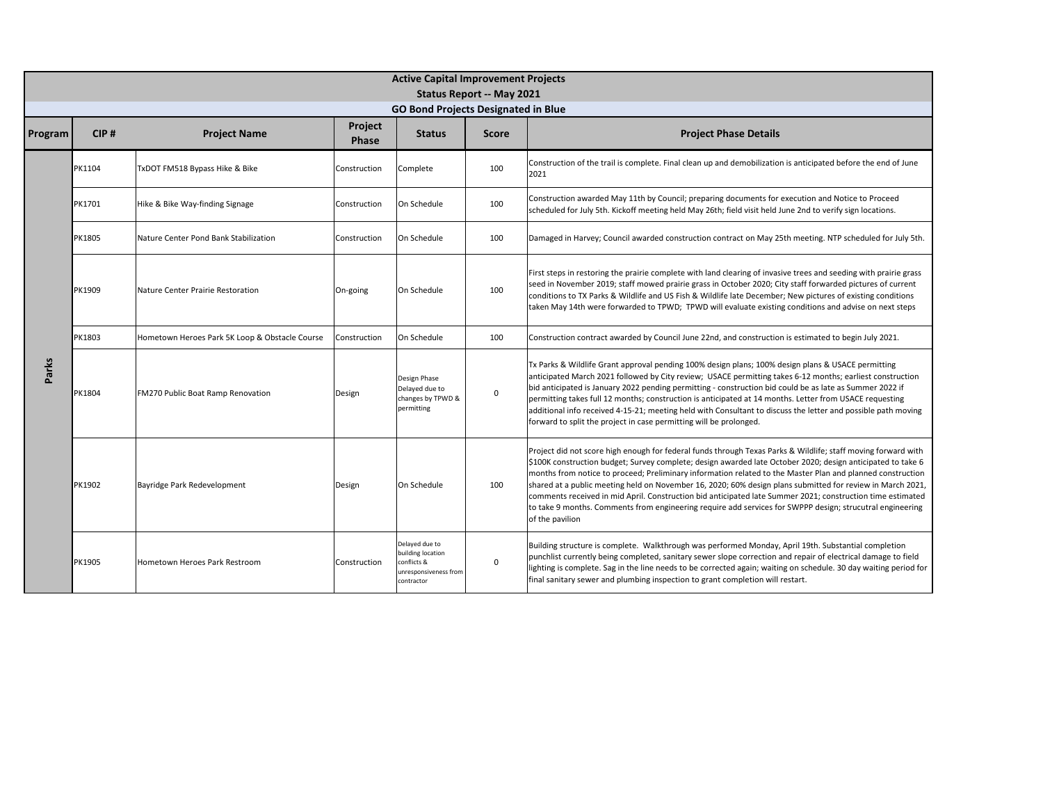|         | <b>Active Capital Improvement Projects</b><br><b>Status Report -- May 2021</b><br><b>GO Bond Projects Designated in Blue</b> |                                                |                         |                                                                                           |              |                                                                                                                                                                                                                                                                                                                                                                                                                                                                                                                                                                                                                                                                                                        |  |  |  |  |
|---------|------------------------------------------------------------------------------------------------------------------------------|------------------------------------------------|-------------------------|-------------------------------------------------------------------------------------------|--------------|--------------------------------------------------------------------------------------------------------------------------------------------------------------------------------------------------------------------------------------------------------------------------------------------------------------------------------------------------------------------------------------------------------------------------------------------------------------------------------------------------------------------------------------------------------------------------------------------------------------------------------------------------------------------------------------------------------|--|--|--|--|
| Program | CIP#                                                                                                                         | <b>Project Name</b>                            | Project<br><b>Phase</b> | <b>Status</b>                                                                             | <b>Score</b> | <b>Project Phase Details</b>                                                                                                                                                                                                                                                                                                                                                                                                                                                                                                                                                                                                                                                                           |  |  |  |  |
|         | PK1104                                                                                                                       | TxDOT FM518 Bypass Hike & Bike                 | Construction            | Complete                                                                                  | 100          | Construction of the trail is complete. Final clean up and demobilization is anticipated before the end of June<br>2021                                                                                                                                                                                                                                                                                                                                                                                                                                                                                                                                                                                 |  |  |  |  |
|         | PK1701                                                                                                                       | Hike & Bike Way-finding Signage                | Construction            | On Schedule                                                                               | 100          | Construction awarded May 11th by Council; preparing documents for execution and Notice to Proceed<br>scheduled for July 5th. Kickoff meeting held May 26th; field visit held June 2nd to verify sign locations.                                                                                                                                                                                                                                                                                                                                                                                                                                                                                        |  |  |  |  |
|         | PK1805                                                                                                                       | Nature Center Pond Bank Stabilization          | Construction            | On Schedule                                                                               | 100          | Damaged in Harvey; Council awarded construction contract on May 25th meeting. NTP scheduled for July 5th.                                                                                                                                                                                                                                                                                                                                                                                                                                                                                                                                                                                              |  |  |  |  |
|         | PK1909                                                                                                                       | Nature Center Prairie Restoration              | On-going                | On Schedule                                                                               | 100          | First steps in restoring the prairie complete with land clearing of invasive trees and seeding with prairie grass<br>seed in November 2019; staff mowed prairie grass in October 2020; City staff forwarded pictures of current<br>conditions to TX Parks & Wildlife and US Fish & Wildlife late December; New pictures of existing conditions<br>taken May 14th were forwarded to TPWD; TPWD will evaluate existing conditions and advise on next steps                                                                                                                                                                                                                                               |  |  |  |  |
|         | PK1803                                                                                                                       | Hometown Heroes Park 5K Loop & Obstacle Course | Construction            | On Schedule                                                                               | 100          | Construction contract awarded by Council June 22nd, and construction is estimated to begin July 2021.                                                                                                                                                                                                                                                                                                                                                                                                                                                                                                                                                                                                  |  |  |  |  |
| Parks   | PK1804                                                                                                                       | FM270 Public Boat Ramp Renovation              | Design                  | Design Phase<br>Delaved due to<br>changes by TPWD &<br>permitting                         | $\mathbf 0$  | Tx Parks & Wildlife Grant approval pending 100% design plans; 100% design plans & USACE permitting<br>anticipated March 2021 followed by City review; USACE permitting takes 6-12 months; earliest construction<br>bid anticipated is January 2022 pending permitting - construction bid could be as late as Summer 2022 if<br>permitting takes full 12 months; construction is anticipated at 14 months. Letter from USACE requesting<br>additional info received 4-15-21; meeting held with Consultant to discuss the letter and possible path moving<br>forward to split the project in case permitting will be prolonged.                                                                          |  |  |  |  |
|         | PK1902                                                                                                                       | Bayridge Park Redevelopment                    | Design                  | On Schedule                                                                               | 100          | Project did not score high enough for federal funds through Texas Parks & Wildlife; staff moving forward with<br>\$100K construction budget; Survey complete; design awarded late October 2020; design anticipated to take 6<br>months from notice to proceed; Preliminary information related to the Master Plan and planned construction<br>shared at a public meeting held on November 16, 2020; 60% design plans submitted for review in March 2021,<br>comments received in mid April. Construction bid anticipated late Summer 2021; construction time estimated<br>to take 9 months. Comments from engineering require add services for SWPPP design; strucutral engineering<br>of the pavilion |  |  |  |  |
|         | PK1905                                                                                                                       | Hometown Heroes Park Restroom                  | Construction            | Delayed due to<br>building location<br>conflicts &<br>unresponsiveness fron<br>contractor | $\mathbf 0$  | Building structure is complete. Walkthrough was performed Monday, April 19th. Substantial completion<br>punchlist currently being completed, sanitary sewer slope correction and repair of electrical damage to field<br>lighting is complete. Sag in the line needs to be corrected again; waiting on schedule. 30 day waiting period for<br>final sanitary sewer and plumbing inspection to grant completion will restart.                                                                                                                                                                                                                                                                           |  |  |  |  |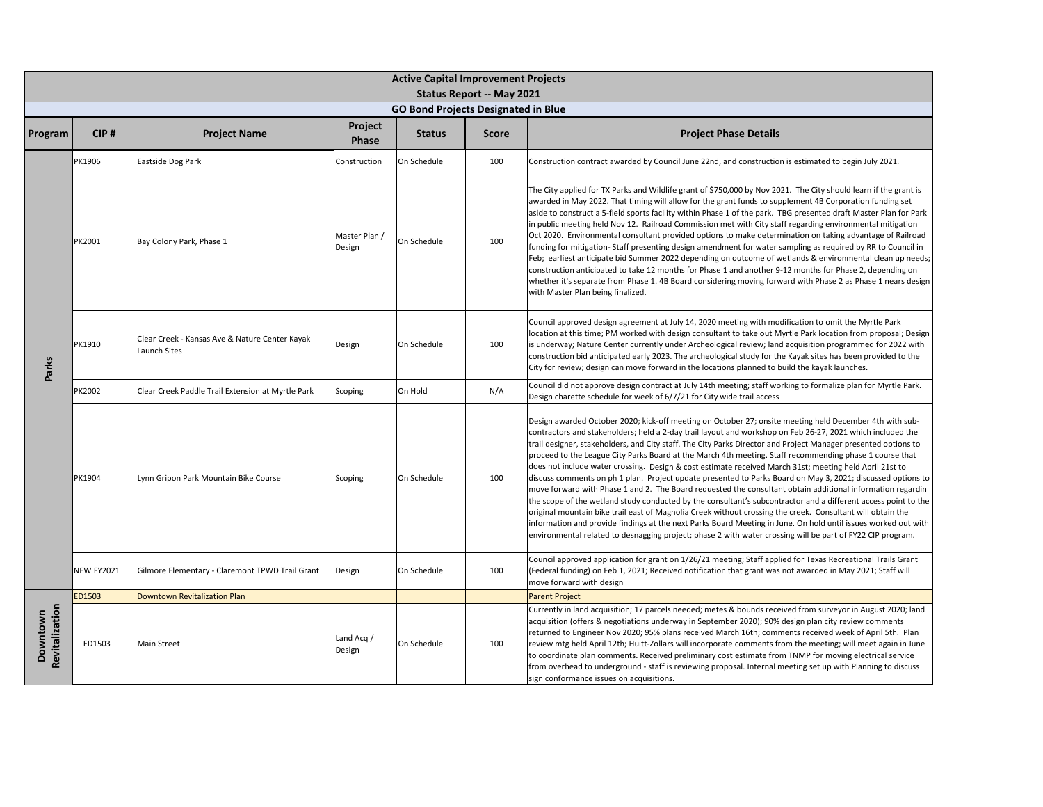|                            | <b>Active Capital Improvement Projects</b><br><b>Status Report -- May 2021</b> |                                                                |                         |                                            |              |                                                                                                                                                                                                                                                                                                                                                                                                                                                                                                                                                                                                                                                                                                                                                                                                                                                                                                                                                                                                                                                                                                                                                                                                                                                            |  |  |  |  |
|----------------------------|--------------------------------------------------------------------------------|----------------------------------------------------------------|-------------------------|--------------------------------------------|--------------|------------------------------------------------------------------------------------------------------------------------------------------------------------------------------------------------------------------------------------------------------------------------------------------------------------------------------------------------------------------------------------------------------------------------------------------------------------------------------------------------------------------------------------------------------------------------------------------------------------------------------------------------------------------------------------------------------------------------------------------------------------------------------------------------------------------------------------------------------------------------------------------------------------------------------------------------------------------------------------------------------------------------------------------------------------------------------------------------------------------------------------------------------------------------------------------------------------------------------------------------------------|--|--|--|--|
|                            |                                                                                |                                                                |                         | <b>GO Bond Projects Designated in Blue</b> |              |                                                                                                                                                                                                                                                                                                                                                                                                                                                                                                                                                                                                                                                                                                                                                                                                                                                                                                                                                                                                                                                                                                                                                                                                                                                            |  |  |  |  |
| Program                    | CIP#                                                                           | <b>Project Name</b>                                            | Project<br>Phase        | <b>Status</b>                              | <b>Score</b> | <b>Project Phase Details</b>                                                                                                                                                                                                                                                                                                                                                                                                                                                                                                                                                                                                                                                                                                                                                                                                                                                                                                                                                                                                                                                                                                                                                                                                                               |  |  |  |  |
|                            | PK1906                                                                         | Eastside Dog Park                                              | Construction            | On Schedule                                | 100          | Construction contract awarded by Council June 22nd, and construction is estimated to begin July 2021.                                                                                                                                                                                                                                                                                                                                                                                                                                                                                                                                                                                                                                                                                                                                                                                                                                                                                                                                                                                                                                                                                                                                                      |  |  |  |  |
|                            | PK2001                                                                         | Bay Colony Park, Phase 1                                       | Master Plan /<br>Design | On Schedule                                | 100          | The City applied for TX Parks and Wildlife grant of \$750,000 by Nov 2021. The City should learn if the grant is<br>awarded in May 2022. That timing will allow for the grant funds to supplement 4B Corporation funding set<br>aside to construct a 5-field sports facility within Phase 1 of the park. TBG presented draft Master Plan for Park<br>in public meeting held Nov 12. Railroad Commission met with City staff regarding environmental mitigation<br>Oct 2020. Environmental consultant provided options to make determination on taking advantage of Railroad<br>funding for mitigation-Staff presenting design amendment for water sampling as required by RR to Council in<br>Feb; earliest anticipate bid Summer 2022 depending on outcome of wetlands & environmental clean up needs;<br>construction anticipated to take 12 months for Phase 1 and another 9-12 months for Phase 2, depending on<br>whether it's separate from Phase 1. 4B Board considering moving forward with Phase 2 as Phase 1 nears design<br>with Master Plan being finalized.                                                                                                                                                                                   |  |  |  |  |
| Parks                      | PK1910                                                                         | Clear Creek - Kansas Ave & Nature Center Kayak<br>Launch Sites | Design                  | On Schedule                                | 100          | Council approved design agreement at July 14, 2020 meeting with modification to omit the Myrtle Park<br>location at this time; PM worked with design consultant to take out Myrtle Park location from proposal; Design<br>is underway; Nature Center currently under Archeological review; land acquisition programmed for 2022 with<br>construction bid anticipated early 2023. The archeological study for the Kayak sites has been provided to the<br>City for review; design can move forward in the locations planned to build the kayak launches.                                                                                                                                                                                                                                                                                                                                                                                                                                                                                                                                                                                                                                                                                                    |  |  |  |  |
|                            | PK2002                                                                         | Clear Creek Paddle Trail Extension at Myrtle Park              | Scoping                 | On Hold                                    | N/A          | Council did not approve design contract at July 14th meeting; staff working to formalize plan for Myrtle Park.<br>Design charette schedule for week of 6/7/21 for City wide trail access                                                                                                                                                                                                                                                                                                                                                                                                                                                                                                                                                                                                                                                                                                                                                                                                                                                                                                                                                                                                                                                                   |  |  |  |  |
|                            | PK1904                                                                         | Lynn Gripon Park Mountain Bike Course                          | Scoping                 | On Schedule                                | 100          | Design awarded October 2020; kick-off meeting on October 27; onsite meeting held December 4th with sub-<br>contractors and stakeholders; held a 2-day trail layout and workshop on Feb 26-27, 2021 which included the<br>trail designer, stakeholders, and City staff. The City Parks Director and Project Manager presented options to<br>proceed to the League City Parks Board at the March 4th meeting. Staff recommending phase 1 course that<br>does not include water crossing. Design & cost estimate received March 31st; meeting held April 21st to<br>discuss comments on ph 1 plan. Project update presented to Parks Board on May 3, 2021; discussed options to<br>move forward with Phase 1 and 2. The Board requested the consultant obtain additional information regardin<br>the scope of the wetland study conducted by the consultant's subcontractor and a different access point to the<br>original mountain bike trail east of Magnolia Creek without crossing the creek. Consultant will obtain the<br>information and provide findings at the next Parks Board Meeting in June. On hold until issues worked out with<br>environmental related to desnagging project; phase 2 with water crossing will be part of FY22 CIP program. |  |  |  |  |
|                            | <b>NEW FY2021</b>                                                              | Gilmore Elementary - Claremont TPWD Trail Grant                | Design                  | On Schedule                                | 100          | Council approved application for grant on 1/26/21 meeting; Staff applied for Texas Recreational Trails Grant<br>(Federal funding) on Feb 1, 2021; Received notification that grant was not awarded in May 2021; Staff will<br>move forward with design                                                                                                                                                                                                                                                                                                                                                                                                                                                                                                                                                                                                                                                                                                                                                                                                                                                                                                                                                                                                     |  |  |  |  |
|                            | ED1503                                                                         | Downtown Revitalization Plan                                   |                         |                                            |              | <b>Parent Project</b>                                                                                                                                                                                                                                                                                                                                                                                                                                                                                                                                                                                                                                                                                                                                                                                                                                                                                                                                                                                                                                                                                                                                                                                                                                      |  |  |  |  |
| Revitalization<br>Downtown | ED1503                                                                         | <b>Main Street</b>                                             | Land Acq /<br>Design    | On Schedule                                | 100          | Currently in land acquisition; 17 parcels needed; metes & bounds received from surveyor in August 2020; land<br>acquisition (offers & negotiations underway in September 2020); 90% design plan city review comments<br>returned to Engineer Nov 2020; 95% plans received March 16th; comments received week of April 5th. Plan<br>review mtg held April 12th; Huitt-Zollars will incorporate comments from the meeting; will meet again in June<br>to coordinate plan comments. Received preliminary cost estimate from TNMP for moving electrical service<br>from overhead to underground - staff is reviewing proposal. Internal meeting set up with Planning to discuss<br>sign conformance issues on acquisitions.                                                                                                                                                                                                                                                                                                                                                                                                                                                                                                                                    |  |  |  |  |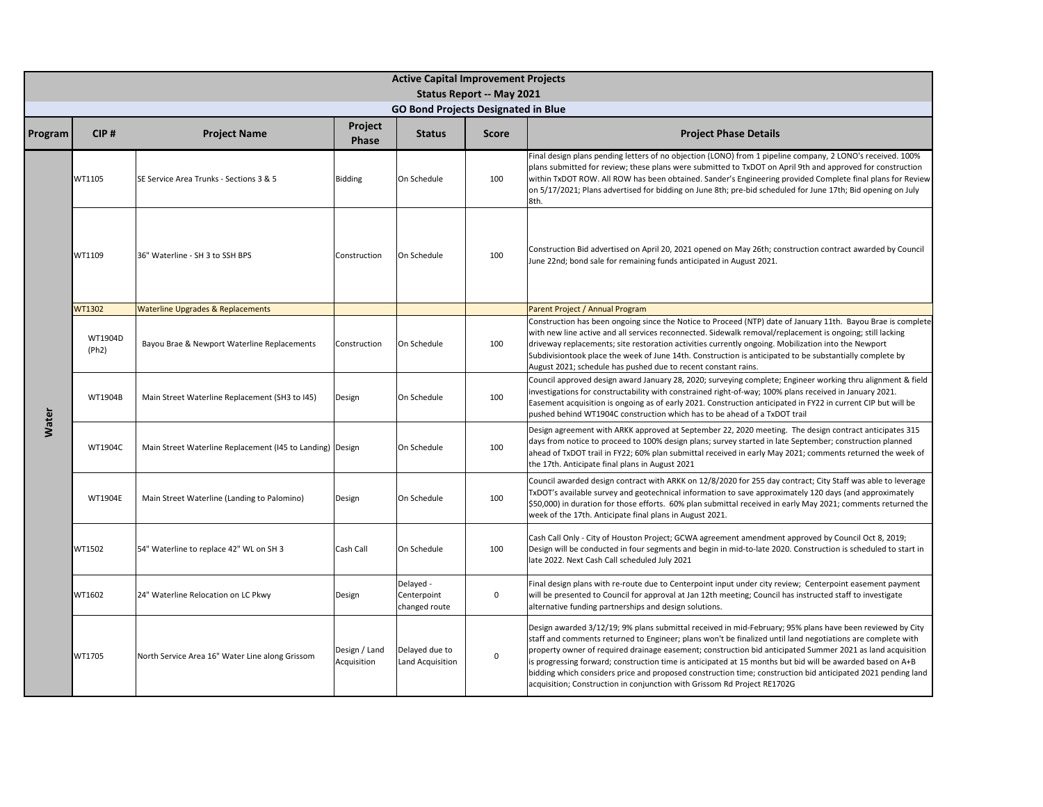| <b>Active Capital Improvement Projects</b> |                  |                                                           |                              |                                            |                                  |                                                                                                                                                                                                                                                                                                                                                                                                                                                                                                                                                                                                                                                  |  |  |
|--------------------------------------------|------------------|-----------------------------------------------------------|------------------------------|--------------------------------------------|----------------------------------|--------------------------------------------------------------------------------------------------------------------------------------------------------------------------------------------------------------------------------------------------------------------------------------------------------------------------------------------------------------------------------------------------------------------------------------------------------------------------------------------------------------------------------------------------------------------------------------------------------------------------------------------------|--|--|
|                                            |                  |                                                           |                              | <b>GO Bond Projects Designated in Blue</b> | <b>Status Report -- May 2021</b> |                                                                                                                                                                                                                                                                                                                                                                                                                                                                                                                                                                                                                                                  |  |  |
|                                            |                  |                                                           | Project                      |                                            |                                  |                                                                                                                                                                                                                                                                                                                                                                                                                                                                                                                                                                                                                                                  |  |  |
| Program                                    | CIP#             | <b>Project Name</b>                                       | <b>Phase</b>                 | <b>Status</b>                              | <b>Score</b>                     | <b>Project Phase Details</b>                                                                                                                                                                                                                                                                                                                                                                                                                                                                                                                                                                                                                     |  |  |
|                                            | WT1105           | SE Service Area Trunks - Sections 3 & 5                   | Bidding                      | On Schedule                                | 100                              | Final design plans pending letters of no objection (LONO) from 1 pipeline company, 2 LONO's received. 100%<br>plans submitted for review; these plans were submitted to TxDOT on April 9th and approved for construction<br>within TxDOT ROW. All ROW has been obtained. Sander's Engineering provided Complete final plans for Review<br>on 5/17/2021; Plans advertised for bidding on June 8th; pre-bid scheduled for June 17th; Bid opening on July<br>8th.                                                                                                                                                                                   |  |  |
|                                            | WT1109           | 36" Waterline - SH 3 to SSH BPS                           | Construction                 | On Schedule                                | 100                              | Construction Bid advertised on April 20, 2021 opened on May 26th; construction contract awarded by Council<br>June 22nd; bond sale for remaining funds anticipated in August 2021.                                                                                                                                                                                                                                                                                                                                                                                                                                                               |  |  |
|                                            | WT1302           | <b>Waterline Upgrades &amp; Replacements</b>              |                              |                                            |                                  | Parent Project / Annual Program                                                                                                                                                                                                                                                                                                                                                                                                                                                                                                                                                                                                                  |  |  |
|                                            | WT1904D<br>(Ph2) | Bayou Brae & Newport Waterline Replacements               | Construction                 | On Schedule                                | 100                              | Construction has been ongoing since the Notice to Proceed (NTP) date of January 11th. Bayou Brae is complete<br>with new line active and all services reconnected. Sidewalk removal/replacement is ongoing; still lacking<br>driveway replacements; site restoration activities currently ongoing. Mobilization into the Newport<br>Subdivisiontook place the week of June 14th. Construction is anticipated to be substantially complete by<br>August 2021; schedule has pushed due to recent constant rains.                                                                                                                                   |  |  |
|                                            | WT1904B          | Main Street Waterline Replacement (SH3 to I45)            | Design                       | On Schedule                                | 100                              | Council approved design award January 28, 2020; surveying complete; Engineer working thru alignment & field<br>investigations for constructability with constrained right-of-way; 100% plans received in January 2021.<br>Easement acquisition is ongoing as of early 2021. Construction anticipated in FY22 in current CIP but will be<br>pushed behind WT1904C construction which has to be ahead of a TxDOT trail                                                                                                                                                                                                                             |  |  |
| Water                                      | WT1904C          | Main Street Waterline Replacement (145 to Landing) Design |                              | On Schedule                                | 100                              | Design agreement with ARKK approved at September 22, 2020 meeting. The design contract anticipates 315<br>days from notice to proceed to 100% design plans; survey started in late September; construction planned<br>ahead of TxDOT trail in FY22; 60% plan submittal received in early May 2021; comments returned the week of<br>the 17th. Anticipate final plans in August 2021                                                                                                                                                                                                                                                              |  |  |
|                                            | <b>WT1904E</b>   | Main Street Waterline (Landing to Palomino)               | Design                       | On Schedule                                | 100                              | Council awarded design contract with ARKK on 12/8/2020 for 255 day contract; City Staff was able to leverage<br>TxDOT's available survey and geotechnical information to save approximately 120 days (and approximately<br>\$50,000) in duration for those efforts. 60% plan submittal received in early May 2021; comments returned the<br>week of the 17th. Anticipate final plans in August 2021.                                                                                                                                                                                                                                             |  |  |
|                                            | WT1502           | 54" Waterline to replace 42" WL on SH 3                   | Cash Call                    | On Schedule                                | 100                              | Cash Call Only - City of Houston Project; GCWA agreement amendment approved by Council Oct 8, 2019;<br>Design will be conducted in four segments and begin in mid-to-late 2020. Construction is scheduled to start in<br>late 2022. Next Cash Call scheduled July 2021                                                                                                                                                                                                                                                                                                                                                                           |  |  |
|                                            | WT1602           | 24" Waterline Relocation on LC Pkwy                       | Design                       | Delayed -<br>Centerpoint<br>changed route  | $\mathsf 0$                      | Final design plans with re-route due to Centerpoint input under city review; Centerpoint easement payment<br>will be presented to Council for approval at Jan 12th meeting; Council has instructed staff to investigate<br>alternative funding partnerships and design solutions.                                                                                                                                                                                                                                                                                                                                                                |  |  |
|                                            | WT1705           | North Service Area 16" Water Line along Grissom           | Design / Land<br>Acquisition | Delayed due to<br>Land Acquisition         | $\mathbf 0$                      | Design awarded 3/12/19; 9% plans submittal received in mid-February; 95% plans have been reviewed by City<br>staff and comments returned to Engineer; plans won't be finalized until land negotiations are complete with<br>property owner of required drainage easement; construction bid anticipated Summer 2021 as land acquisition<br>is progressing forward; construction time is anticipated at 15 months but bid will be awarded based on A+B<br>bidding which considers price and proposed construction time; construction bid anticipated 2021 pending land<br>acquisition; Construction in conjunction with Grissom Rd Project RE1702G |  |  |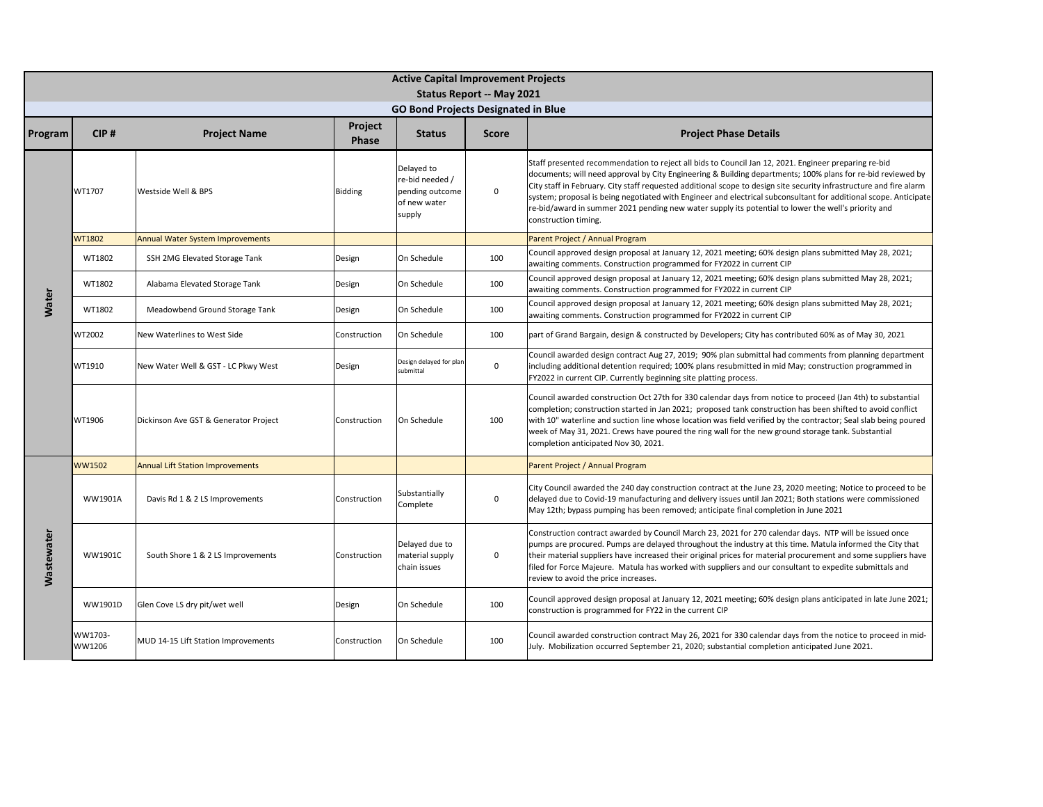|                   | <b>Active Capital Improvement Projects</b><br><b>Status Report -- May 2021</b> |                                         |                  |                                                                            |              |                                                                                                                                                                                                                                                                                                                                                                                                                                                                                                                                                                                               |  |  |  |  |
|-------------------|--------------------------------------------------------------------------------|-----------------------------------------|------------------|----------------------------------------------------------------------------|--------------|-----------------------------------------------------------------------------------------------------------------------------------------------------------------------------------------------------------------------------------------------------------------------------------------------------------------------------------------------------------------------------------------------------------------------------------------------------------------------------------------------------------------------------------------------------------------------------------------------|--|--|--|--|
|                   |                                                                                |                                         |                  | <b>GO Bond Projects Designated in Blue</b>                                 |              |                                                                                                                                                                                                                                                                                                                                                                                                                                                                                                                                                                                               |  |  |  |  |
| Program           | CIP#                                                                           | <b>Project Name</b>                     | Project<br>Phase | <b>Status</b>                                                              | <b>Score</b> | <b>Project Phase Details</b>                                                                                                                                                                                                                                                                                                                                                                                                                                                                                                                                                                  |  |  |  |  |
|                   | WT1707                                                                         | Westside Well & BPS                     | Bidding          | Delayed to<br>re-bid needed /<br>pending outcome<br>of new water<br>supply | 0            | Staff presented recommendation to reject all bids to Council Jan 12, 2021. Engineer preparing re-bid<br>documents; will need approval by City Engineering & Building departments; 100% plans for re-bid reviewed by<br>City staff in February. City staff requested additional scope to design site security infrastructure and fire alarm<br>system; proposal is being negotiated with Engineer and electrical subconsultant for additional scope. Anticipate<br>re-bid/award in summer 2021 pending new water supply its potential to lower the well's priority and<br>construction timing. |  |  |  |  |
|                   | WT1802                                                                         | Annual Water System Improvements        |                  |                                                                            |              | Parent Project / Annual Program                                                                                                                                                                                                                                                                                                                                                                                                                                                                                                                                                               |  |  |  |  |
|                   | WT1802                                                                         | SSH 2MG Elevated Storage Tank           | Design           | On Schedule                                                                | 100          | Council approved design proposal at January 12, 2021 meeting; 60% design plans submitted May 28, 2021;<br>awaiting comments. Construction programmed for FY2022 in current CIP                                                                                                                                                                                                                                                                                                                                                                                                                |  |  |  |  |
|                   | WT1802                                                                         | Alabama Elevated Storage Tank           | Design           | On Schedule                                                                | 100          | Council approved design proposal at January 12, 2021 meeting; 60% design plans submitted May 28, 2021;<br>awaiting comments. Construction programmed for FY2022 in current CIP                                                                                                                                                                                                                                                                                                                                                                                                                |  |  |  |  |
| Water             | WT1802                                                                         | Meadowbend Ground Storage Tank          | Design           | On Schedule                                                                | 100          | Council approved design proposal at January 12, 2021 meeting; 60% design plans submitted May 28, 2021;<br>awaiting comments. Construction programmed for FY2022 in current CIP                                                                                                                                                                                                                                                                                                                                                                                                                |  |  |  |  |
|                   | WT2002                                                                         | New Waterlines to West Side             | Construction     | On Schedule                                                                | 100          | part of Grand Bargain, design & constructed by Developers; City has contributed 60% as of May 30, 2021                                                                                                                                                                                                                                                                                                                                                                                                                                                                                        |  |  |  |  |
|                   | WT1910                                                                         | New Water Well & GST - LC Pkwy West     | Design           | Design delayed for plar<br>submittal                                       | 0            | Council awarded design contract Aug 27, 2019; 90% plan submittal had comments from planning department<br>including additional detention required; 100% plans resubmitted in mid May; construction programmed in<br>FY2022 in current CIP. Currently beginning site platting process.                                                                                                                                                                                                                                                                                                         |  |  |  |  |
|                   | WT1906                                                                         | Dickinson Ave GST & Generator Project   | Construction     | On Schedule                                                                | 100          | Council awarded construction Oct 27th for 330 calendar days from notice to proceed (Jan 4th) to substantial<br>completion; construction started in Jan 2021; proposed tank construction has been shifted to avoid conflict<br>with 10" waterline and suction line whose location was field verified by the contractor; Seal slab being poured<br>week of May 31, 2021. Crews have poured the ring wall for the new ground storage tank. Substantial<br>completion anticipated Nov 30, 2021.                                                                                                   |  |  |  |  |
|                   | WW1502                                                                         | <b>Annual Lift Station Improvements</b> |                  |                                                                            |              | Parent Project / Annual Program                                                                                                                                                                                                                                                                                                                                                                                                                                                                                                                                                               |  |  |  |  |
|                   | WW1901A                                                                        | Davis Rd 1 & 2 LS Improvements          | Construction     | Substantially<br>Complete                                                  | $\mathbf 0$  | City Council awarded the 240 day construction contract at the June 23, 2020 meeting; Notice to proceed to be<br>delayed due to Covid-19 manufacturing and delivery issues until Jan 2021; Both stations were commissioned<br>May 12th; bypass pumping has been removed; anticipate final completion in June 2021                                                                                                                                                                                                                                                                              |  |  |  |  |
| <b>Wastewater</b> | <b>WW1901C</b>                                                                 | South Shore 1 & 2 LS Improvements       | Construction     | Delayed due to<br>material supply<br>chain issues                          | 0            | Construction contract awarded by Council March 23, 2021 for 270 calendar days. NTP will be issued once<br>pumps are procured. Pumps are delayed throughout the industry at this time. Matula informed the City that<br>their material suppliers have increased their original prices for material procurement and some suppliers have<br>filed for Force Majeure. Matula has worked with suppliers and our consultant to expedite submittals and<br>review to avoid the price increases.                                                                                                      |  |  |  |  |
|                   | WW1901D                                                                        | Glen Cove LS dry pit/wet well           | Design           | On Schedule                                                                | 100          | Council approved design proposal at January 12, 2021 meeting; 60% design plans anticipated in late June 2021;<br>construction is programmed for FY22 in the current CIP                                                                                                                                                                                                                                                                                                                                                                                                                       |  |  |  |  |
|                   | WW1703-<br>WW1206                                                              | MUD 14-15 Lift Station Improvements     | Construction     | On Schedule                                                                | 100          | Council awarded construction contract May 26, 2021 for 330 calendar days from the notice to proceed in mid-<br>July. Mobilization occurred September 21, 2020; substantial completion anticipated June 2021.                                                                                                                                                                                                                                                                                                                                                                                  |  |  |  |  |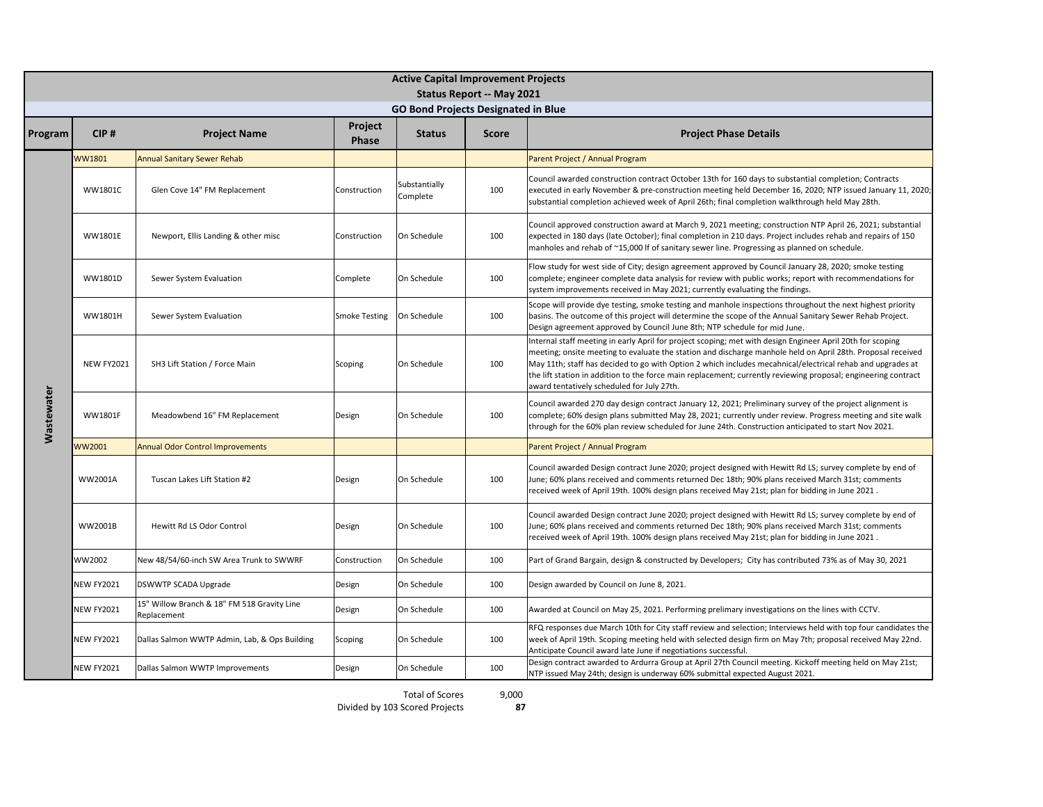|                   | <b>Active Capital Improvement Projects</b> |                                                            |                         |                                            |                           |                                                                                                                                                                                                                                                                                                                                                                                                                                                                                                         |  |  |  |  |
|-------------------|--------------------------------------------|------------------------------------------------------------|-------------------------|--------------------------------------------|---------------------------|---------------------------------------------------------------------------------------------------------------------------------------------------------------------------------------------------------------------------------------------------------------------------------------------------------------------------------------------------------------------------------------------------------------------------------------------------------------------------------------------------------|--|--|--|--|
|                   |                                            |                                                            |                         |                                            | Status Report -- May 2021 |                                                                                                                                                                                                                                                                                                                                                                                                                                                                                                         |  |  |  |  |
|                   |                                            |                                                            |                         | <b>GO Bond Projects Designated in Blue</b> |                           |                                                                                                                                                                                                                                                                                                                                                                                                                                                                                                         |  |  |  |  |
| Program           | CIP#                                       | <b>Project Name</b>                                        | Project<br><b>Phase</b> | <b>Status</b>                              | <b>Score</b>              | <b>Project Phase Details</b>                                                                                                                                                                                                                                                                                                                                                                                                                                                                            |  |  |  |  |
|                   | <b>WW1801</b>                              | <b>Annual Sanitary Sewer Rehab</b>                         |                         |                                            |                           | Parent Project / Annual Program                                                                                                                                                                                                                                                                                                                                                                                                                                                                         |  |  |  |  |
|                   | <b>WW1801C</b>                             | Glen Cove 14" FM Replacement                               | Construction            | Substantially<br>Complete                  | 100                       | Council awarded construction contract October 13th for 160 days to substantial completion; Contracts<br>executed in early November & pre-construction meeting held December 16, 2020; NTP issued January 11, 2020;<br>substantial completion achieved week of April 26th; final completion walkthrough held May 28th.                                                                                                                                                                                   |  |  |  |  |
|                   | WW1801E                                    | Newport, Ellis Landing & other misc                        | Construction            | On Schedule                                | 100                       | Council approved construction award at March 9, 2021 meeting; construction NTP April 26, 2021; substantial<br>expected in 180 days (late October); final completion in 210 days. Project includes rehab and repairs of 150<br>manholes and rehab of ~15,000 If of sanitary sewer line. Progressing as planned on schedule.                                                                                                                                                                              |  |  |  |  |
|                   | WW1801D                                    | Sewer System Evaluation                                    | Complete                | On Schedule                                | 100                       | Flow study for west side of City; design agreement approved by Council January 28, 2020; smoke testing<br>complete; engineer complete data analysis for review with public works; report with recommendations for<br>system improvements received in May 2021; currently evaluating the findings.                                                                                                                                                                                                       |  |  |  |  |
|                   | WW1801H                                    | Sewer System Evaluation                                    | <b>Smoke Testing</b>    | On Schedule                                | 100                       | Scope will provide dye testing, smoke testing and manhole inspections throughout the next highest priority<br>basins. The outcome of this project will determine the scope of the Annual Sanitary Sewer Rehab Project.<br>Design agreement approved by Council June 8th; NTP schedule for mid June.                                                                                                                                                                                                     |  |  |  |  |
|                   | <b>NEW FY2021</b>                          | SH3 Lift Station / Force Main                              | Scoping                 | On Schedule                                | 100                       | Internal staff meeting in early April for project scoping; met with design Engineer April 20th for scoping<br>meeting; onsite meeting to evaluate the station and discharge manhole held on April 28th. Proposal received<br>May 11th; staff has decided to go with Option 2 which includes mecahnical/electrical rehab and upgrades at<br>the lift station in addition to the force main replacement; currently reviewing proposal; engineering contract<br>award tentatively scheduled for July 27th. |  |  |  |  |
| <b>Wastewater</b> | <b>WW1801F</b>                             | Meadowbend 16" FM Replacement                              | Design                  | On Schedule                                | 100                       | Council awarded 270 day design contract January 12, 2021; Preliminary survey of the project alignment is<br>complete; 60% design plans submitted May 28, 2021; currently under review. Progress meeting and site walk<br>through for the 60% plan review scheduled for June 24th. Construction anticipated to start Nov 2021.                                                                                                                                                                           |  |  |  |  |
|                   | WW2001                                     | <b>Annual Odor Control Improvements</b>                    |                         |                                            |                           | Parent Project / Annual Program                                                                                                                                                                                                                                                                                                                                                                                                                                                                         |  |  |  |  |
|                   | WW2001A                                    | Tuscan Lakes Lift Station #2                               | Design                  | On Schedule                                | 100                       | Council awarded Design contract June 2020; project designed with Hewitt Rd LS; survey complete by end of<br>June; 60% plans received and comments returned Dec 18th; 90% plans received March 31st; comments<br>received week of April 19th. 100% design plans received May 21st; plan for bidding in June 2021.                                                                                                                                                                                        |  |  |  |  |
|                   | WW2001B                                    | Hewitt Rd LS Odor Control                                  | Design                  | On Schedule                                | 100                       | Council awarded Design contract June 2020; project designed with Hewitt Rd LS; survey complete by end of<br>June; 60% plans received and comments returned Dec 18th; 90% plans received March 31st; comments<br>received week of April 19th. 100% design plans received May 21st; plan for bidding in June 2021.                                                                                                                                                                                        |  |  |  |  |
|                   | WW2002                                     | New 48/54/60-inch SW Area Trunk to SWWRF                   | Construction            | On Schedule                                | 100                       | Part of Grand Bargain, design & constructed by Developers; City has contributed 73% as of May 30, 2021                                                                                                                                                                                                                                                                                                                                                                                                  |  |  |  |  |
|                   | <b>NEW FY2021</b>                          | DSWWTP SCADA Upgrade                                       | Design                  | On Schedule                                | 100                       | Design awarded by Council on June 8, 2021.                                                                                                                                                                                                                                                                                                                                                                                                                                                              |  |  |  |  |
|                   | <b>NEW FY2021</b>                          | 15" Willow Branch & 18" FM 518 Gravity Line<br>Replacement | Design                  | On Schedule                                | 100                       | Awarded at Council on May 25, 2021. Performing prelimary investigations on the lines with CCTV.                                                                                                                                                                                                                                                                                                                                                                                                         |  |  |  |  |
|                   | <b>NEW FY2021</b>                          | Dallas Salmon WWTP Admin, Lab, & Ops Building              | Scoping                 | On Schedule                                | 100                       | RFQ responses due March 10th for City staff review and selection; Interviews held with top four candidates the<br>week of April 19th. Scoping meeting held with selected design firm on May 7th; proposal received May 22nd.<br>Anticipate Council award late June if negotiations successful.                                                                                                                                                                                                          |  |  |  |  |
|                   | <b>NEW FY2021</b>                          | Dallas Salmon WWTP Improvements                            | Design                  | On Schedule                                | 100                       | Design contract awarded to Ardurra Group at April 27th Council meeting. Kickoff meeting held on May 21st;<br>NTP issued May 24th; design is underway 60% submittal expected August 2021.                                                                                                                                                                                                                                                                                                                |  |  |  |  |

Total of Scores

9,000

rectation Scores and Business expected August 2021.<br>Bivided by 103 Scored Projects **87** 

**87**